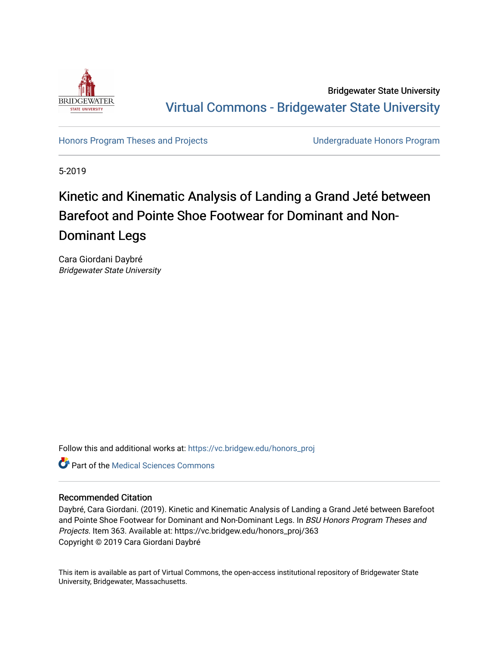

Bridgewater State University [Virtual Commons - Bridgewater State University](https://vc.bridgew.edu/) 

[Honors Program Theses and Projects](https://vc.bridgew.edu/honors_proj) [Undergraduate Honors Program](https://vc.bridgew.edu/honors) 

5-2019

## Kinetic and Kinematic Analysis of Landing a Grand Jeté between Barefoot and Pointe Shoe Footwear for Dominant and Non-Dominant Legs

Cara Giordani Daybré Bridgewater State University

Follow this and additional works at: [https://vc.bridgew.edu/honors\\_proj](https://vc.bridgew.edu/honors_proj?utm_source=vc.bridgew.edu%2Fhonors_proj%2F363&utm_medium=PDF&utm_campaign=PDFCoverPages)



#### Recommended Citation

Daybré, Cara Giordani. (2019). Kinetic and Kinematic Analysis of Landing a Grand Jeté between Barefoot and Pointe Shoe Footwear for Dominant and Non-Dominant Legs. In BSU Honors Program Theses and Projects. Item 363. Available at: https://vc.bridgew.edu/honors\_proj/363 Copyright © 2019 Cara Giordani Daybré

This item is available as part of Virtual Commons, the open-access institutional repository of Bridgewater State University, Bridgewater, Massachusetts.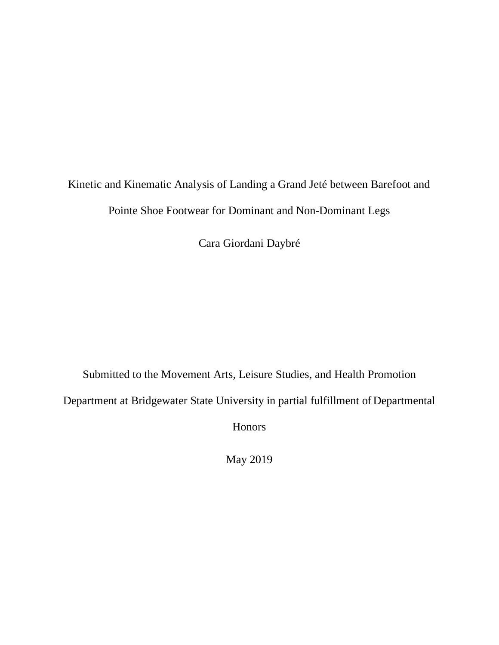# Kinetic and Kinematic Analysis of Landing a Grand Jeté between Barefoot and Pointe Shoe Footwear for Dominant and Non-Dominant Legs

Cara Giordani Daybré

Submitted to the Movement Arts, Leisure Studies, and Health Promotion

Department at Bridgewater State University in partial fulfillment of Departmental

Honors

May 2019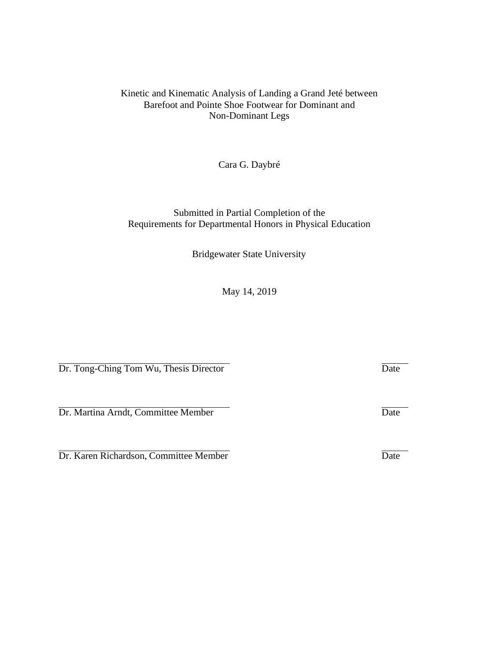#### Kinetic and Kinematic Analysis of Landing a Grand Jeté between Barefoot and Pointe Shoe Footwear for Dominant and Non-Dominant Legs

Cara G. Daybré

#### Submitted in Partial Completion of the Requirements for Departmental Honors in Physical Education

Bridgewater State University

May 14, 2019

Dr. Tong-Ching Tom Wu, Thesis Director Date

Dr. Martina Arndt, Committee Member Date

Dr. Karen Richardson, Committee Member Date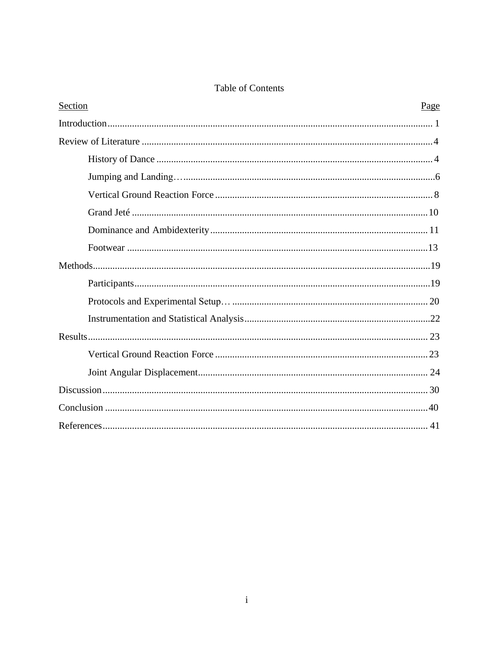#### Table of Contents

| Section | Page |
|---------|------|
|         |      |
|         |      |
|         |      |
|         |      |
|         |      |
|         |      |
|         |      |
|         |      |
|         |      |
|         |      |
|         |      |
|         |      |
|         |      |
|         |      |
|         |      |
|         |      |
|         |      |
|         |      |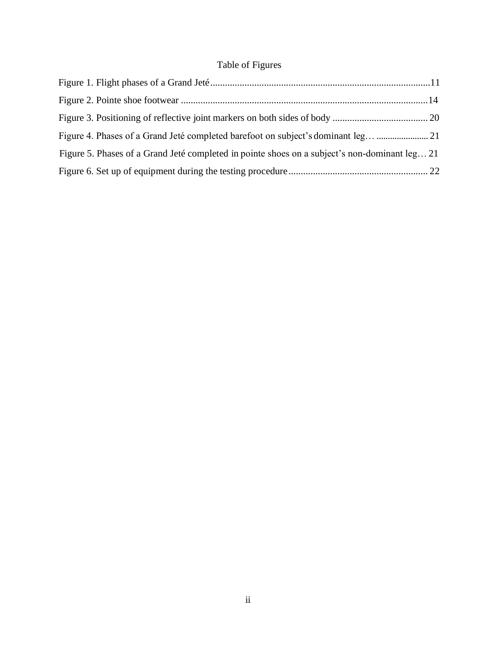### Table of Figures

| Figure 5. Phases of a Grand Jeté completed in pointe shoes on a subject's non-dominant leg 21 |  |
|-----------------------------------------------------------------------------------------------|--|
|                                                                                               |  |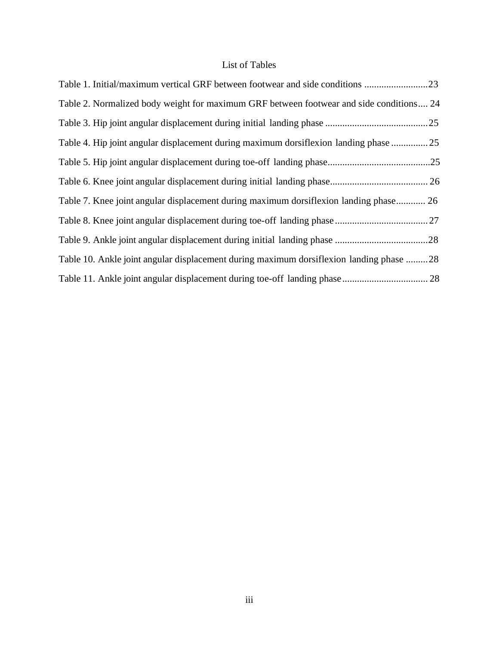#### List of Tables

| Table 1. Initial/maximum vertical GRF between footwear and side conditions              |  |
|-----------------------------------------------------------------------------------------|--|
| Table 2. Normalized body weight for maximum GRF between footwear and side conditions 24 |  |
|                                                                                         |  |
| Table 4. Hip joint angular displacement during maximum dorsifiexion landing phase  25   |  |
|                                                                                         |  |
|                                                                                         |  |
| Table 7. Knee joint angular displacement during maximum dorsiflexion landing phase 26   |  |
|                                                                                         |  |
|                                                                                         |  |
| Table 10. Ankle joint angular displacement during maximum dorsifiexion landing phase 28 |  |
|                                                                                         |  |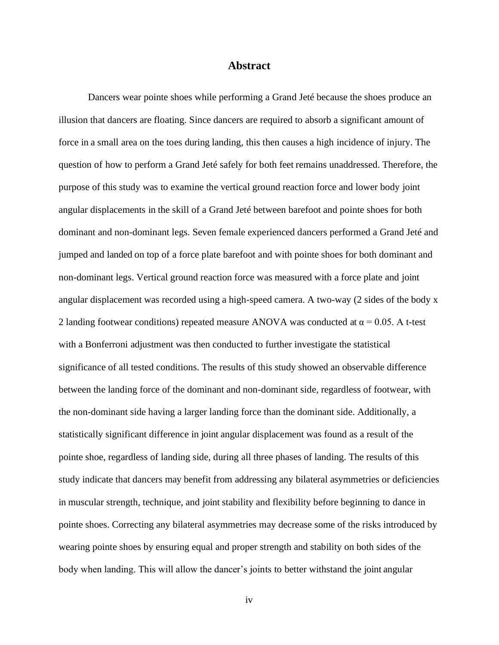#### **Abstract**

Dancers wear pointe shoes while performing a Grand Jeté because the shoes produce an illusion that dancers are floating. Since dancers are required to absorb a significant amount of force in a small area on the toes during landing, this then causes a high incidence of injury. The question of how to perform a Grand Jeté safely for both feet remains unaddressed. Therefore, the purpose of this study was to examine the vertical ground reaction force and lower body joint angular displacements in the skill of a Grand Jeté between barefoot and pointe shoes for both dominant and non-dominant legs. Seven female experienced dancers performed a Grand Jeté and jumped and landed on top of a force plate barefoot and with pointe shoes for both dominant and non-dominant legs. Vertical ground reaction force was measured with a force plate and joint angular displacement was recorded using a high-speed camera. A two-way (2 sides of the body x 2 landing footwear conditions) repeated measure ANOVA was conducted at  $\alpha$  = 0.05. A t-test with a Bonferroni adjustment was then conducted to further investigate the statistical significance of all tested conditions. The results of this study showed an observable difference between the landing force of the dominant and non-dominant side, regardless of footwear, with the non-dominant side having a larger landing force than the dominant side. Additionally, a statistically significant difference in joint angular displacement was found as a result of the pointe shoe, regardless of landing side, during all three phases of landing. The results of this study indicate that dancers may benefit from addressing any bilateral asymmetries or deficiencies in muscular strength, technique, and joint stability and flexibility before beginning to dance in pointe shoes. Correcting any bilateral asymmetries may decrease some of the risks introduced by wearing pointe shoes by ensuring equal and proper strength and stability on both sides of the body when landing. This will allow the dancer's joints to better withstand the joint angular

iv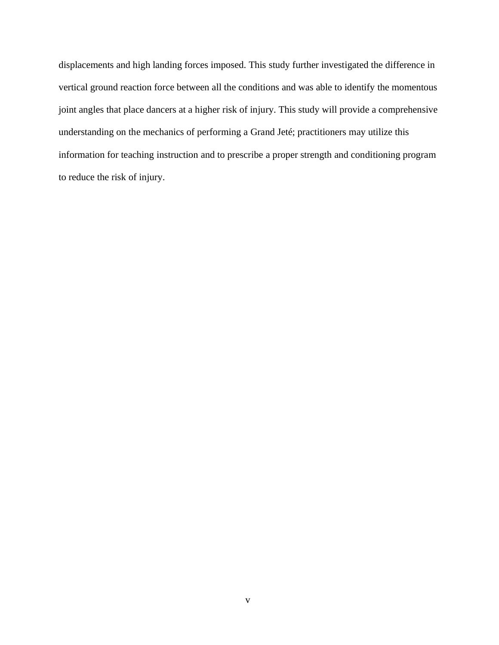displacements and high landing forces imposed. This study further investigated the difference in vertical ground reaction force between all the conditions and was able to identify the momentous joint angles that place dancers at a higher risk of injury. This study will provide a comprehensive understanding on the mechanics of performing a Grand Jeté; practitioners may utilize this information for teaching instruction and to prescribe a proper strength and conditioning program to reduce the risk of injury.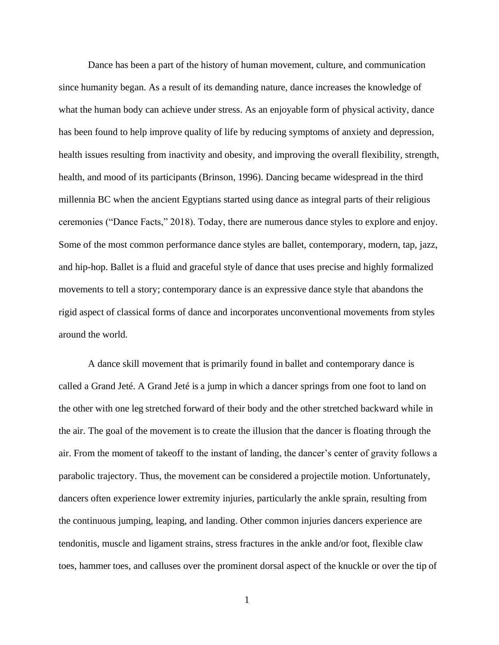Dance has been a part of the history of human movement, culture, and communication since humanity began. As a result of its demanding nature, dance increases the knowledge of what the human body can achieve under stress. As an enjoyable form of physical activity, dance has been found to help improve quality of life by reducing symptoms of anxiety and depression, health issues resulting from inactivity and obesity, and improving the overall flexibility, strength, health, and mood of its participants (Brinson, 1996). Dancing became widespread in the third millennia BC when the ancient Egyptians started using dance as integral parts of their religious ceremonies ("Dance Facts," 2018). Today, there are numerous dance styles to explore and enjoy. Some of the most common performance dance styles are ballet, contemporary, modern, tap, jazz, and hip-hop. Ballet is a fluid and graceful style of dance that uses precise and highly formalized movements to tell a story; contemporary dance is an expressive dance style that abandons the rigid aspect of classical forms of dance and incorporates unconventional movements from styles around the world.

A dance skill movement that is primarily found in ballet and contemporary dance is called a Grand Jeté. A Grand Jeté is a jump in which a dancer springs from one foot to land on the other with one leg stretched forward of their body and the other stretched backward while in the air. The goal of the movement is to create the illusion that the dancer is floating through the air. From the moment of takeoff to the instant of landing, the dancer's center of gravity follows a parabolic trajectory. Thus, the movement can be considered a projectile motion. Unfortunately, dancers often experience lower extremity injuries, particularly the ankle sprain, resulting from the continuous jumping, leaping, and landing. Other common injuries dancers experience are tendonitis, muscle and ligament strains, stress fractures in the ankle and/or foot, flexible claw toes, hammer toes, and calluses over the prominent dorsal aspect of the knuckle or over the tip of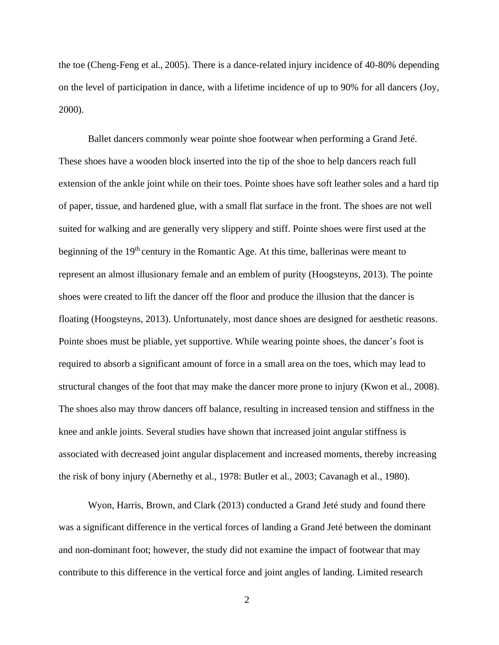the toe (Cheng-Feng et al., 2005). There is a dance-related injury incidence of 40-80% depending on the level of participation in dance, with a lifetime incidence of up to 90% for all dancers (Joy, 2000).

Ballet dancers commonly wear pointe shoe footwear when performing a Grand Jeté. These shoes have a wooden block inserted into the tip of the shoe to help dancers reach full extension of the ankle joint while on their toes. Pointe shoes have soft leather soles and a hard tip of paper, tissue, and hardened glue, with a small flat surface in the front. The shoes are not well suited for walking and are generally very slippery and stiff. Pointe shoes were first used at the beginning of the 19<sup>th</sup> century in the Romantic Age. At this time, ballerinas were meant to represent an almost illusionary female and an emblem of purity (Hoogsteyns, 2013). The pointe shoes were created to lift the dancer off the floor and produce the illusion that the dancer is floating (Hoogsteyns, 2013). Unfortunately, most dance shoes are designed for aesthetic reasons. Pointe shoes must be pliable, yet supportive. While wearing pointe shoes, the dancer's foot is required to absorb a significant amount of force in a small area on the toes, which may lead to structural changes of the foot that may make the dancer more prone to injury (Kwon et al., 2008). The shoes also may throw dancers off balance, resulting in increased tension and stiffness in the knee and ankle joints. Several studies have shown that increased joint angular stiffness is associated with decreased joint angular displacement and increased moments, thereby increasing the risk of bony injury (Abernethy et al., 1978: Butler et al., 2003; Cavanagh et al., 1980).

Wyon, Harris, Brown, and Clark (2013) conducted a Grand Jeté study and found there was a significant difference in the vertical forces of landing a Grand Jeté between the dominant and non-dominant foot; however, the study did not examine the impact of footwear that may contribute to this difference in the vertical force and joint angles of landing. Limited research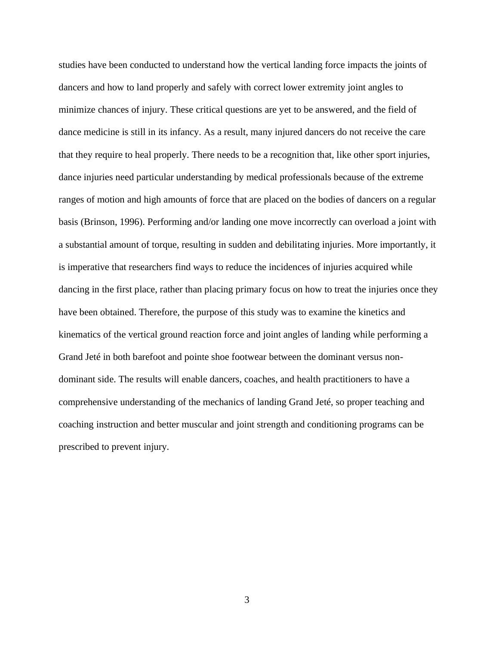studies have been conducted to understand how the vertical landing force impacts the joints of dancers and how to land properly and safely with correct lower extremity joint angles to minimize chances of injury. These critical questions are yet to be answered, and the field of dance medicine is still in its infancy. As a result, many injured dancers do not receive the care that they require to heal properly. There needs to be a recognition that, like other sport injuries, dance injuries need particular understanding by medical professionals because of the extreme ranges of motion and high amounts of force that are placed on the bodies of dancers on a regular basis (Brinson, 1996). Performing and/or landing one move incorrectly can overload a joint with a substantial amount of torque, resulting in sudden and debilitating injuries. More importantly, it is imperative that researchers find ways to reduce the incidences of injuries acquired while dancing in the first place, rather than placing primary focus on how to treat the injuries once they have been obtained. Therefore, the purpose of this study was to examine the kinetics and kinematics of the vertical ground reaction force and joint angles of landing while performing a Grand Jeté in both barefoot and pointe shoe footwear between the dominant versus nondominant side. The results will enable dancers, coaches, and health practitioners to have a comprehensive understanding of the mechanics of landing Grand Jeté, so proper teaching and coaching instruction and better muscular and joint strength and conditioning programs can be prescribed to prevent injury.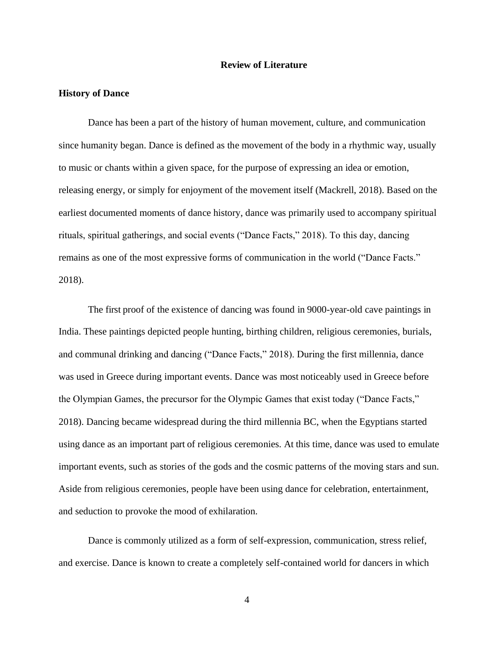#### **Review of Literature**

#### <span id="page-11-1"></span><span id="page-11-0"></span>**History of Dance**

Dance has been a part of the history of human movement, culture, and communication since humanity began. Dance is defined as the movement of the body in a rhythmic way, usually to music or chants within a given space, for the purpose of expressing an idea or emotion, releasing energy, or simply for enjoyment of the movement itself (Mackrell, 2018). Based on the earliest documented moments of dance history, dance was primarily used to accompany spiritual rituals, spiritual gatherings, and social events ("Dance Facts," 2018). To this day, dancing remains as one of the most expressive forms of communication in the world ("Dance Facts." 2018).

The first proof of the existence of dancing was found in 9000-year-old cave paintings in India. These paintings depicted people hunting, birthing children, religious ceremonies, burials, and communal drinking and dancing ("Dance Facts," 2018). During the first millennia, dance was used in Greece during important events. Dance was most noticeably used in Greece before the Olympian Games, the precursor for the Olympic Games that exist today ("Dance Facts," 2018). Dancing became widespread during the third millennia BC, when the Egyptians started using dance as an important part of religious ceremonies. At this time, dance was used to emulate important events, such as stories of the gods and the cosmic patterns of the moving stars and sun. Aside from religious ceremonies, people have been using dance for celebration, entertainment, and seduction to provoke the mood of exhilaration.

Dance is commonly utilized as a form of self-expression, communication, stress relief, and exercise. Dance is known to create a completely self-contained world for dancers in which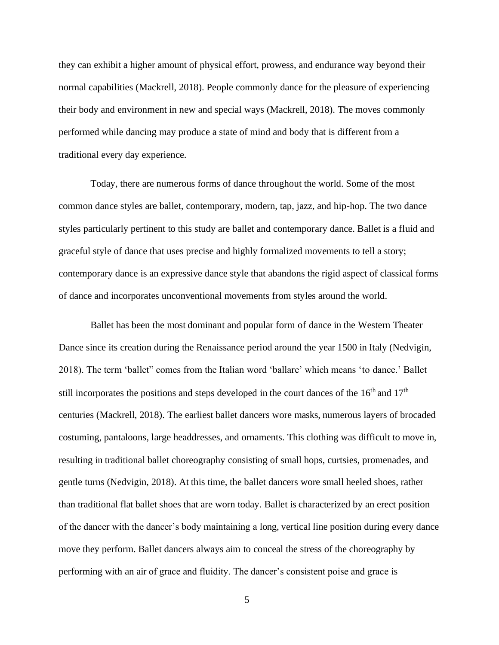they can exhibit a higher amount of physical effort, prowess, and endurance way beyond their normal capabilities (Mackrell, 2018). People commonly dance for the pleasure of experiencing their body and environment in new and special ways (Mackrell, 2018). The moves commonly performed while dancing may produce a state of mind and body that is different from a traditional every day experience.

Today, there are numerous forms of dance throughout the world. Some of the most common dance styles are ballet, contemporary, modern, tap, jazz, and hip-hop. The two dance styles particularly pertinent to this study are ballet and contemporary dance. Ballet is a fluid and graceful style of dance that uses precise and highly formalized movements to tell a story; contemporary dance is an expressive dance style that abandons the rigid aspect of classical forms of dance and incorporates unconventional movements from styles around the world.

Ballet has been the most dominant and popular form of dance in the Western Theater Dance since its creation during the Renaissance period around the year 1500 in Italy (Nedvigin, 2018). The term 'ballet" comes from the Italian word 'ballare' which means 'to dance.' Ballet still incorporates the positions and steps developed in the court dances of the  $16<sup>th</sup>$  and  $17<sup>th</sup>$ centuries (Mackrell, 2018). The earliest ballet dancers wore masks, numerous layers of brocaded costuming, pantaloons, large headdresses, and ornaments. This clothing was difficult to move in, resulting in traditional ballet choreography consisting of small hops, curtsies, promenades, and gentle turns (Nedvigin, 2018). At this time, the ballet dancers wore small heeled shoes, rather than traditional flat ballet shoes that are worn today. Ballet is characterized by an erect position of the dancer with the dancer's body maintaining a long, vertical line position during every dance move they perform. Ballet dancers always aim to conceal the stress of the choreography by performing with an air of grace and fluidity. The dancer's consistent poise and grace is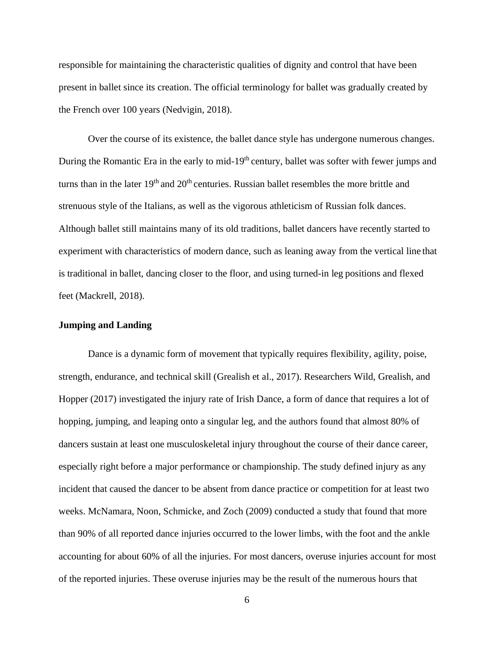responsible for maintaining the characteristic qualities of dignity and control that have been present in ballet since its creation. The official terminology for ballet was gradually created by the French over 100 years (Nedvigin, 2018).

Over the course of its existence, the ballet dance style has undergone numerous changes. During the Romantic Era in the early to mid-19<sup>th</sup> century, ballet was softer with fewer jumps and turns than in the later  $19<sup>th</sup>$  and  $20<sup>th</sup>$  centuries. Russian ballet resembles the more brittle and strenuous style of the Italians, as well as the vigorous athleticism of Russian folk dances. Although ballet still maintains many of its old traditions, ballet dancers have recently started to experiment with characteristics of modern dance, such as leaning away from the vertical line that is traditional in ballet, dancing closer to the floor, and using turned-in leg positions and flexed feet (Mackrell, 2018).

#### <span id="page-13-0"></span>**Jumping and Landing**

Dance is a dynamic form of movement that typically requires flexibility, agility, poise, strength, endurance, and technical skill (Grealish et al., 2017). Researchers Wild, Grealish, and Hopper (2017) investigated the injury rate of Irish Dance, a form of dance that requires a lot of hopping, jumping, and leaping onto a singular leg, and the authors found that almost 80% of dancers sustain at least one musculoskeletal injury throughout the course of their dance career, especially right before a major performance or championship. The study defined injury as any incident that caused the dancer to be absent from dance practice or competition for at least two weeks. McNamara, Noon, Schmicke, and Zoch (2009) conducted a study that found that more than 90% of all reported dance injuries occurred to the lower limbs, with the foot and the ankle accounting for about 60% of all the injuries. For most dancers, overuse injuries account for most of the reported injuries. These overuse injuries may be the result of the numerous hours that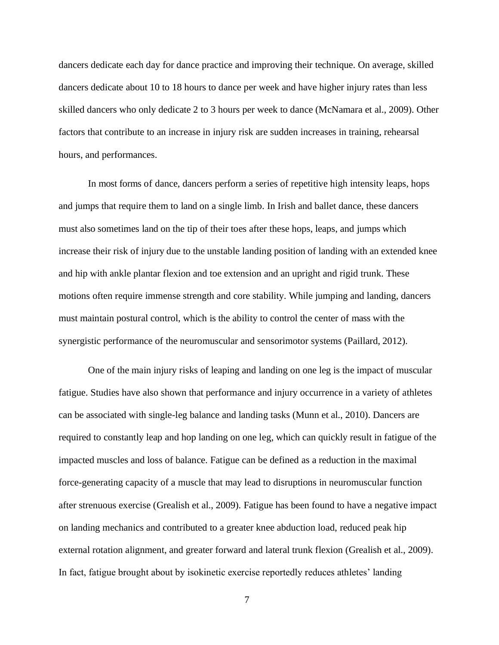dancers dedicate each day for dance practice and improving their technique. On average, skilled dancers dedicate about 10 to 18 hours to dance per week and have higher injury rates than less skilled dancers who only dedicate 2 to 3 hours per week to dance (McNamara et al., 2009). Other factors that contribute to an increase in injury risk are sudden increases in training, rehearsal hours, and performances.

In most forms of dance, dancers perform a series of repetitive high intensity leaps, hops and jumps that require them to land on a single limb. In Irish and ballet dance, these dancers must also sometimes land on the tip of their toes after these hops, leaps, and jumps which increase their risk of injury due to the unstable landing position of landing with an extended knee and hip with ankle plantar flexion and toe extension and an upright and rigid trunk. These motions often require immense strength and core stability. While jumping and landing, dancers must maintain postural control, which is the ability to control the center of mass with the synergistic performance of the neuromuscular and sensorimotor systems (Paillard, 2012).

One of the main injury risks of leaping and landing on one leg is the impact of muscular fatigue. Studies have also shown that performance and injury occurrence in a variety of athletes can be associated with single-leg balance and landing tasks (Munn et al., 2010). Dancers are required to constantly leap and hop landing on one leg, which can quickly result in fatigue of the impacted muscles and loss of balance. Fatigue can be defined as a reduction in the maximal force-generating capacity of a muscle that may lead to disruptions in neuromuscular function after strenuous exercise (Grealish et al., 2009). Fatigue has been found to have a negative impact on landing mechanics and contributed to a greater knee abduction load, reduced peak hip external rotation alignment, and greater forward and lateral trunk flexion (Grealish et al., 2009). In fact, fatigue brought about by isokinetic exercise reportedly reduces athletes' landing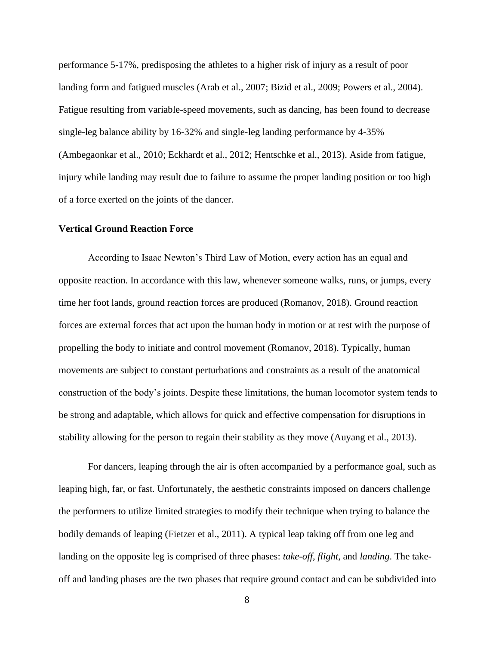performance 5-17%, predisposing the athletes to a higher risk of injury as a result of poor landing form and fatigued muscles (Arab et al., 2007; Bizid et al., 2009; Powers et al., 2004). Fatigue resulting from variable-speed movements, such as dancing, has been found to decrease single-leg balance ability by 16-32% and single-leg landing performance by 4-35% (Ambegaonkar et al., 2010; Eckhardt et al., 2012; Hentschke et al., 2013). Aside from fatigue, injury while landing may result due to failure to assume the proper landing position or too high of a force exerted on the joints of the dancer.

#### <span id="page-15-0"></span>**Vertical Ground Reaction Force**

According to Isaac Newton's Third Law of Motion, every action has an equal and opposite reaction. In accordance with this law, whenever someone walks, runs, or jumps, every time her foot lands, ground reaction forces are produced (Romanov, 2018). Ground reaction forces are external forces that act upon the human body in motion or at rest with the purpose of propelling the body to initiate and control movement (Romanov, 2018). Typically, human movements are subject to constant perturbations and constraints as a result of the anatomical construction of the body's joints. Despite these limitations, the human locomotor system tends to be strong and adaptable, which allows for quick and effective compensation for disruptions in stability allowing for the person to regain their stability as they move (Auyang et al., 2013).

For dancers, leaping through the air is often accompanied by a performance goal, such as leaping high, far, or fast. Unfortunately, the aesthetic constraints imposed on dancers challenge the performers to utilize limited strategies to modify their technique when trying to balance the bodily demands of leaping (Fietzer et al., 2011). A typical leap taking off from one leg and landing on the opposite leg is comprised of three phases: *take-off*, *flight*, and *landing*. The takeoff and landing phases are the two phases that require ground contact and can be subdivided into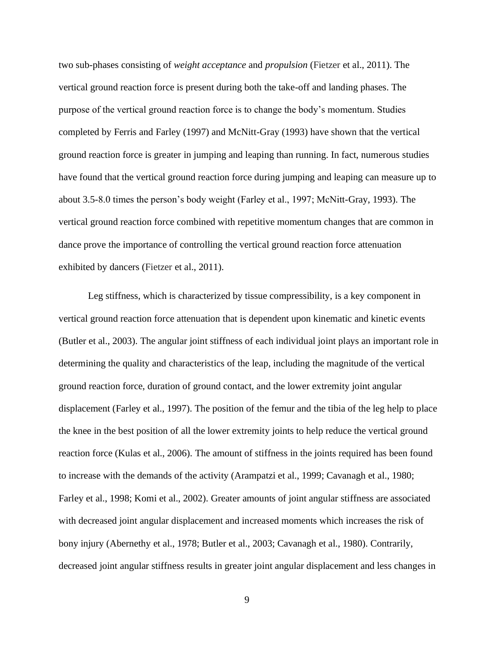two sub-phases consisting of *weight acceptance* and *propulsion* (Fietzer et al., 2011). The vertical ground reaction force is present during both the take-off and landing phases. The purpose of the vertical ground reaction force is to change the body's momentum. Studies completed by Ferris and Farley (1997) and McNitt-Gray (1993) have shown that the vertical ground reaction force is greater in jumping and leaping than running. In fact, numerous studies have found that the vertical ground reaction force during jumping and leaping can measure up to about 3.5-8.0 times the person's body weight (Farley et al., 1997; McNitt-Gray, 1993). The vertical ground reaction force combined with repetitive momentum changes that are common in dance prove the importance of controlling the vertical ground reaction force attenuation exhibited by dancers (Fietzer et al., 2011).

Leg stiffness, which is characterized by tissue compressibility, is a key component in vertical ground reaction force attenuation that is dependent upon kinematic and kinetic events (Butler et al., 2003). The angular joint stiffness of each individual joint plays an important role in determining the quality and characteristics of the leap, including the magnitude of the vertical ground reaction force, duration of ground contact, and the lower extremity joint angular displacement (Farley et al., 1997). The position of the femur and the tibia of the leg help to place the knee in the best position of all the lower extremity joints to help reduce the vertical ground reaction force (Kulas et al., 2006). The amount of stiffness in the joints required has been found to increase with the demands of the activity (Arampatzi et al., 1999; Cavanagh et al., 1980; Farley et al., 1998; Komi et al., 2002). Greater amounts of joint angular stiffness are associated with decreased joint angular displacement and increased moments which increases the risk of bony injury (Abernethy et al., 1978; Butler et al., 2003; Cavanagh et al., 1980). Contrarily, decreased joint angular stiffness results in greater joint angular displacement and less changes in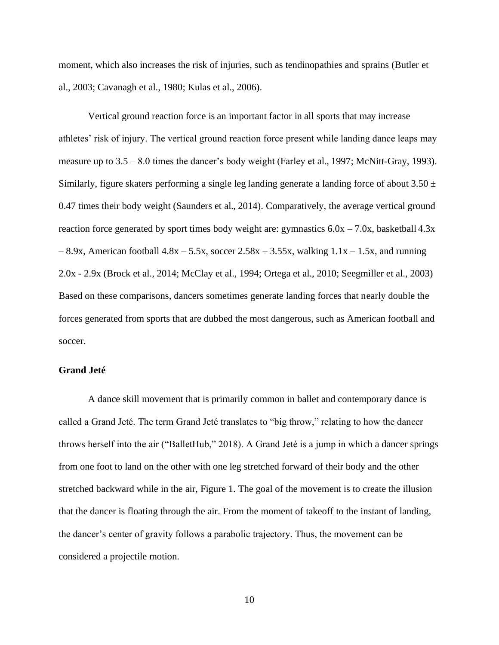moment, which also increases the risk of injuries, such as tendinopathies and sprains (Butler et al., 2003; Cavanagh et al., 1980; Kulas et al., 2006).

Vertical ground reaction force is an important factor in all sports that may increase athletes' risk of injury. The vertical ground reaction force present while landing dance leaps may measure up to 3.5 – 8.0 times the dancer's body weight (Farley et al., 1997; McNitt-Gray, 1993). Similarly, figure skaters performing a single leg landing generate a landing force of about  $3.50 \pm$ 0.47 times their body weight (Saunders et al., 2014). Comparatively, the average vertical ground reaction force generated by sport times body weight are: gymnastics  $6.0x - 7.0x$ , basketball  $4.3x$  $-8.9x$ , American football  $4.8x - 5.5x$ , soccer  $2.58x - 3.55x$ , walking  $1.1x - 1.5x$ , and running 2.0x - 2.9x (Brock et al., 2014; McClay et al., 1994; Ortega et al., 2010; Seegmiller et al., 2003) Based on these comparisons, dancers sometimes generate landing forces that nearly double the forces generated from sports that are dubbed the most dangerous, such as American football and soccer.

#### <span id="page-17-0"></span>**Grand Jeté**

A dance skill movement that is primarily common in ballet and contemporary dance is called a Grand Jeté. The term Grand Jeté translates to "big throw," relating to how the dancer throws herself into the air ("BalletHub," 2018). A Grand Jeté is a jump in which a dancer springs from one foot to land on the other with one leg stretched forward of their body and the other stretched backward while in the air, Figure 1. The goal of the movement is to create the illusion that the dancer is floating through the air. From the moment of takeoff to the instant of landing, the dancer's center of gravity follows a parabolic trajectory. Thus, the movement can be considered a projectile motion.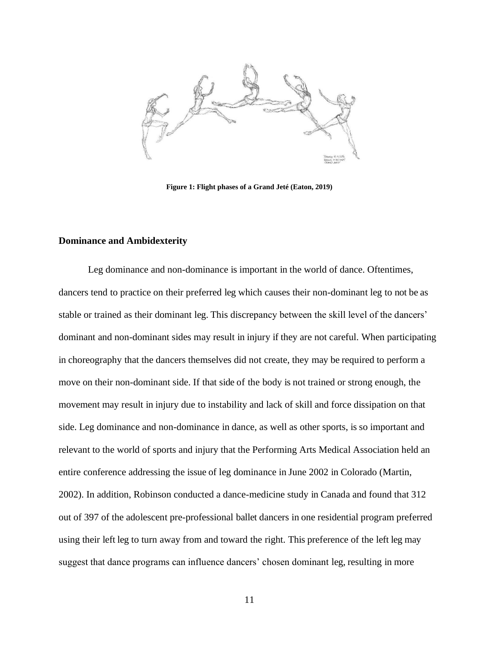

**Figure 1: Flight phases of a Grand Jeté (Eaton, 2019)**

#### <span id="page-18-0"></span>**Dominance and Ambidexterity**

Leg dominance and non-dominance is important in the world of dance. Oftentimes, dancers tend to practice on their preferred leg which causes their non-dominant leg to not be as stable or trained as their dominant leg. This discrepancy between the skill level of the dancers' dominant and non-dominant sides may result in injury if they are not careful. When participating in choreography that the dancers themselves did not create, they may be required to perform a move on their non-dominant side. If that side of the body is not trained or strong enough, the movement may result in injury due to instability and lack of skill and force dissipation on that side. Leg dominance and non-dominance in dance, as well as other sports, is so important and relevant to the world of sports and injury that the Performing Arts Medical Association held an entire conference addressing the issue of leg dominance in June 2002 in Colorado (Martin, 2002). In addition, Robinson conducted a dance-medicine study in Canada and found that 312 out of 397 of the adolescent pre-professional ballet dancers in one residential program preferred using their left leg to turn away from and toward the right. This preference of the left leg may suggest that dance programs can influence dancers' chosen dominant leg, resulting in more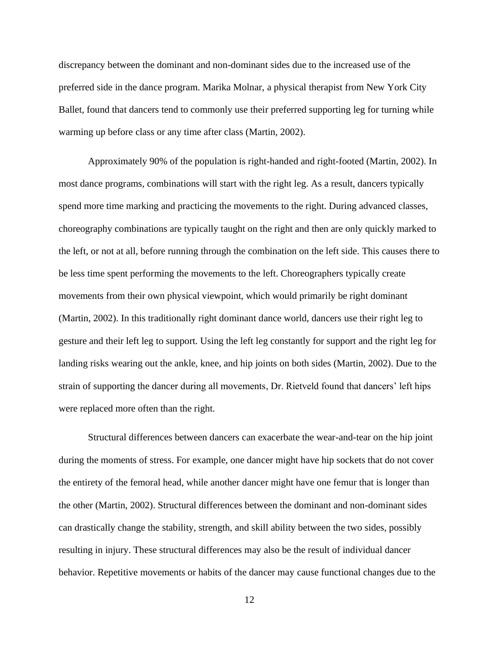discrepancy between the dominant and non-dominant sides due to the increased use of the preferred side in the dance program. Marika Molnar, a physical therapist from New York City Ballet, found that dancers tend to commonly use their preferred supporting leg for turning while warming up before class or any time after class (Martin, 2002).

Approximately 90% of the population is right-handed and right-footed (Martin, 2002). In most dance programs, combinations will start with the right leg. As a result, dancers typically spend more time marking and practicing the movements to the right. During advanced classes, choreography combinations are typically taught on the right and then are only quickly marked to the left, or not at all, before running through the combination on the left side. This causes there to be less time spent performing the movements to the left. Choreographers typically create movements from their own physical viewpoint, which would primarily be right dominant (Martin, 2002). In this traditionally right dominant dance world, dancers use their right leg to gesture and their left leg to support. Using the left leg constantly for support and the right leg for landing risks wearing out the ankle, knee, and hip joints on both sides (Martin, 2002). Due to the strain of supporting the dancer during all movements, Dr. Rietveld found that dancers' left hips were replaced more often than the right.

Structural differences between dancers can exacerbate the wear-and-tear on the hip joint during the moments of stress. For example, one dancer might have hip sockets that do not cover the entirety of the femoral head, while another dancer might have one femur that is longer than the other (Martin, 2002). Structural differences between the dominant and non-dominant sides can drastically change the stability, strength, and skill ability between the two sides, possibly resulting in injury. These structural differences may also be the result of individual dancer behavior. Repetitive movements or habits of the dancer may cause functional changes due to the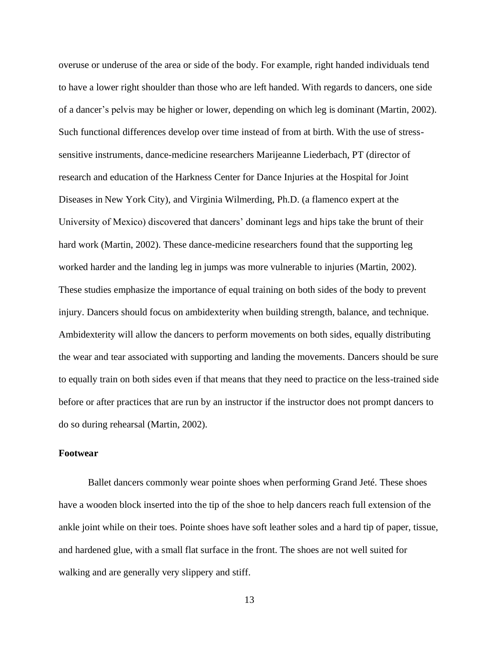overuse or underuse of the area or side of the body. For example, right handed individuals tend to have a lower right shoulder than those who are left handed. With regards to dancers, one side of a dancer's pelvis may be higher or lower, depending on which leg is dominant (Martin, 2002). Such functional differences develop over time instead of from at birth. With the use of stresssensitive instruments, dance-medicine researchers Marijeanne Liederbach, PT (director of research and education of the Harkness Center for Dance Injuries at the Hospital for Joint Diseases in New York City), and Virginia Wilmerding, Ph.D. (a flamenco expert at the University of Mexico) discovered that dancers' dominant legs and hips take the brunt of their hard work (Martin, 2002). These dance-medicine researchers found that the supporting leg worked harder and the landing leg in jumps was more vulnerable to injuries (Martin, 2002). These studies emphasize the importance of equal training on both sides of the body to prevent injury. Dancers should focus on ambidexterity when building strength, balance, and technique. Ambidexterity will allow the dancers to perform movements on both sides, equally distributing the wear and tear associated with supporting and landing the movements. Dancers should be sure to equally train on both sides even if that means that they need to practice on the less-trained side before or after practices that are run by an instructor if the instructor does not prompt dancers to do so during rehearsal (Martin, 2002).

#### <span id="page-20-0"></span>**Footwear**

Ballet dancers commonly wear pointe shoes when performing Grand Jeté. These shoes have a wooden block inserted into the tip of the shoe to help dancers reach full extension of the ankle joint while on their toes. Pointe shoes have soft leather soles and a hard tip of paper, tissue, and hardened glue, with a small flat surface in the front. The shoes are not well suited for walking and are generally very slippery and stiff.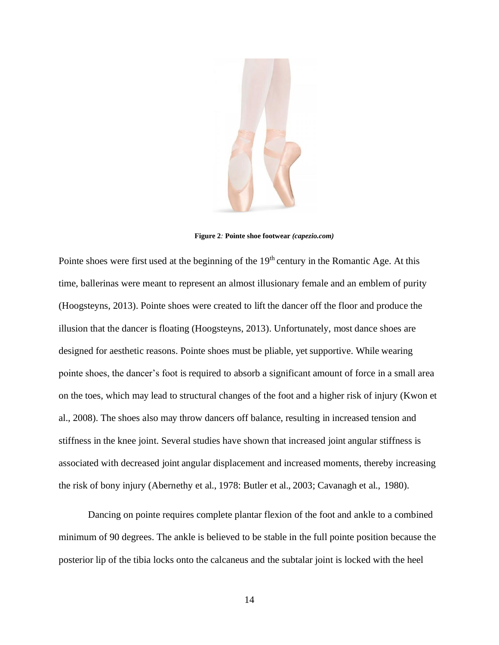

**Figure 2***:* **Pointe shoe footwear** *(capezio.com)*

Pointe shoes were first used at the beginning of the 19<sup>th</sup> century in the Romantic Age. At this time, ballerinas were meant to represent an almost illusionary female and an emblem of purity (Hoogsteyns, 2013). Pointe shoes were created to lift the dancer off the floor and produce the illusion that the dancer is floating (Hoogsteyns, 2013). Unfortunately, most dance shoes are designed for aesthetic reasons. Pointe shoes must be pliable, yet supportive. While wearing pointe shoes, the dancer's foot is required to absorb a significant amount of force in a small area on the toes, which may lead to structural changes of the foot and a higher risk of injury (Kwon et al., 2008). The shoes also may throw dancers off balance, resulting in increased tension and stiffness in the knee joint. Several studies have shown that increased joint angular stiffness is associated with decreased joint angular displacement and increased moments, thereby increasing the risk of bony injury (Abernethy et al., 1978: Butler et al., 2003; Cavanagh et al., 1980).

Dancing on pointe requires complete plantar flexion of the foot and ankle to a combined minimum of 90 degrees. The ankle is believed to be stable in the full pointe position because the posterior lip of the tibia locks onto the calcaneus and the subtalar joint is locked with the heel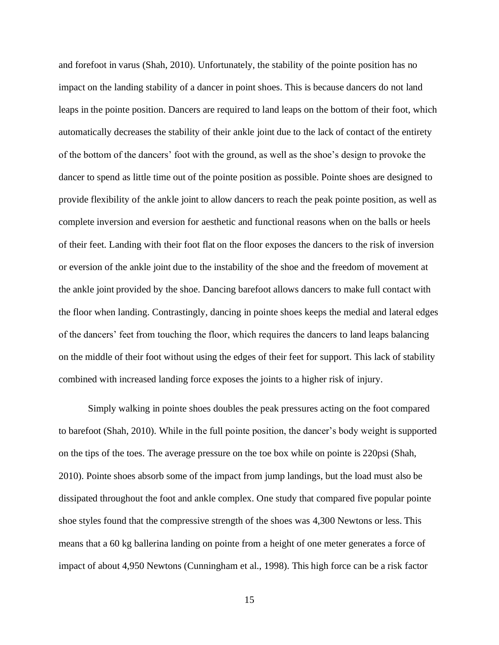and forefoot in varus (Shah, 2010). Unfortunately, the stability of the pointe position has no impact on the landing stability of a dancer in point shoes. This is because dancers do not land leaps in the pointe position. Dancers are required to land leaps on the bottom of their foot, which automatically decreases the stability of their ankle joint due to the lack of contact of the entirety of the bottom of the dancers' foot with the ground, as well as the shoe's design to provoke the dancer to spend as little time out of the pointe position as possible. Pointe shoes are designed to provide flexibility of the ankle joint to allow dancers to reach the peak pointe position, as well as complete inversion and eversion for aesthetic and functional reasons when on the balls or heels of their feet. Landing with their foot flat on the floor exposes the dancers to the risk of inversion or eversion of the ankle joint due to the instability of the shoe and the freedom of movement at the ankle joint provided by the shoe. Dancing barefoot allows dancers to make full contact with the floor when landing. Contrastingly, dancing in pointe shoes keeps the medial and lateral edges of the dancers' feet from touching the floor, which requires the dancers to land leaps balancing on the middle of their foot without using the edges of their feet for support. This lack of stability combined with increased landing force exposes the joints to a higher risk of injury.

Simply walking in pointe shoes doubles the peak pressures acting on the foot compared to barefoot (Shah, 2010). While in the full pointe position, the dancer's body weight is supported on the tips of the toes. The average pressure on the toe box while on pointe is 220psi (Shah, 2010). Pointe shoes absorb some of the impact from jump landings, but the load must also be dissipated throughout the foot and ankle complex. One study that compared five popular pointe shoe styles found that the compressive strength of the shoes was 4,300 Newtons or less. This means that a 60 kg ballerina landing on pointe from a height of one meter generates a force of impact of about 4,950 Newtons (Cunningham et al., 1998). This high force can be a risk factor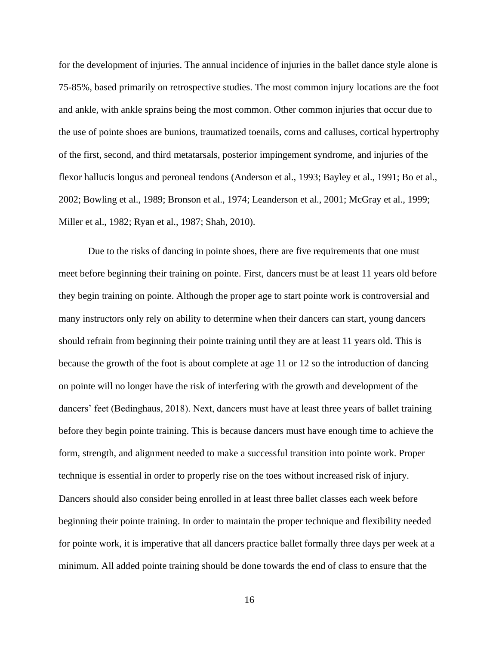for the development of injuries. The annual incidence of injuries in the ballet dance style alone is 75-85%, based primarily on retrospective studies. The most common injury locations are the foot and ankle, with ankle sprains being the most common. Other common injuries that occur due to the use of pointe shoes are bunions, traumatized toenails, corns and calluses, cortical hypertrophy of the first, second, and third metatarsals, posterior impingement syndrome, and injuries of the flexor hallucis longus and peroneal tendons (Anderson et al., 1993; Bayley et al., 1991; Bo et al., 2002; Bowling et al., 1989; Bronson et al., 1974; Leanderson et al., 2001; McGray et al., 1999; Miller et al., 1982; Ryan et al., 1987; Shah, 2010).

Due to the risks of dancing in pointe shoes, there are five requirements that one must meet before beginning their training on pointe. First, dancers must be at least 11 years old before they begin training on pointe. Although the proper age to start pointe work is controversial and many instructors only rely on ability to determine when their dancers can start, young dancers should refrain from beginning their pointe training until they are at least 11 years old. This is because the growth of the foot is about complete at age 11 or 12 so the introduction of dancing on pointe will no longer have the risk of interfering with the growth and development of the dancers' feet (Bedinghaus, 2018). Next, dancers must have at least three years of ballet training before they begin pointe training. This is because dancers must have enough time to achieve the form, strength, and alignment needed to make a successful transition into pointe work. Proper technique is essential in order to properly rise on the toes without increased risk of injury. Dancers should also consider being enrolled in at least three ballet classes each week before beginning their pointe training. In order to maintain the proper technique and flexibility needed for pointe work, it is imperative that all dancers practice ballet formally three days per week at a minimum. All added pointe training should be done towards the end of class to ensure that the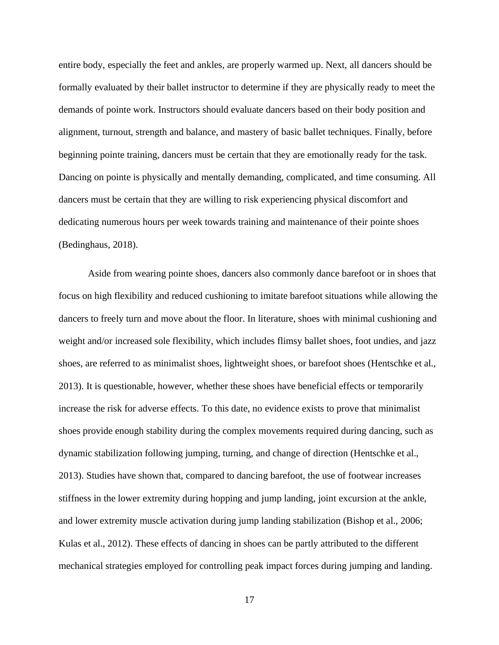entire body, especially the feet and ankles, are properly warmed up. Next, all dancers should be formally evaluated by their ballet instructor to determine if they are physically ready to meet the demands of pointe work. Instructors should evaluate dancers based on their body position and alignment, turnout, strength and balance, and mastery of basic ballet techniques. Finally, before beginning pointe training, dancers must be certain that they are emotionally ready for the task. Dancing on pointe is physically and mentally demanding, complicated, and time consuming. All dancers must be certain that they are willing to risk experiencing physical discomfort and dedicating numerous hours per week towards training and maintenance of their pointe shoes (Bedinghaus, 2018).

Aside from wearing pointe shoes, dancers also commonly dance barefoot or in shoes that focus on high flexibility and reduced cushioning to imitate barefoot situations while allowing the dancers to freely turn and move about the floor. In literature, shoes with minimal cushioning and weight and/or increased sole flexibility, which includes flimsy ballet shoes, foot undies, and jazz shoes, are referred to as minimalist shoes, lightweight shoes, or barefoot shoes (Hentschke et al., 2013). It is questionable, however, whether these shoes have beneficial effects or temporarily increase the risk for adverse effects. To this date, no evidence exists to prove that minimalist shoes provide enough stability during the complex movements required during dancing, such as dynamic stabilization following jumping, turning, and change of direction (Hentschke et al., 2013). Studies have shown that, compared to dancing barefoot, the use of footwear increases stiffness in the lower extremity during hopping and jump landing, joint excursion at the ankle, and lower extremity muscle activation during jump landing stabilization (Bishop et al., 2006; Kulas et al., 2012). These effects of dancing in shoes can be partly attributed to the different mechanical strategies employed for controlling peak impact forces during jumping and landing.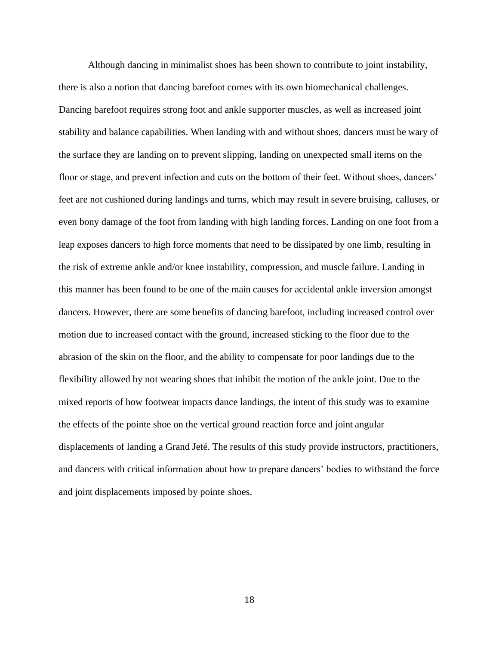Although dancing in minimalist shoes has been shown to contribute to joint instability, there is also a notion that dancing barefoot comes with its own biomechanical challenges. Dancing barefoot requires strong foot and ankle supporter muscles, as well as increased joint stability and balance capabilities. When landing with and without shoes, dancers must be wary of the surface they are landing on to prevent slipping, landing on unexpected small items on the floor or stage, and prevent infection and cuts on the bottom of their feet. Without shoes, dancers' feet are not cushioned during landings and turns, which may result in severe bruising, calluses, or even bony damage of the foot from landing with high landing forces. Landing on one foot from a leap exposes dancers to high force moments that need to be dissipated by one limb, resulting in the risk of extreme ankle and/or knee instability, compression, and muscle failure. Landing in this manner has been found to be one of the main causes for accidental ankle inversion amongst dancers. However, there are some benefits of dancing barefoot, including increased control over motion due to increased contact with the ground, increased sticking to the floor due to the abrasion of the skin on the floor, and the ability to compensate for poor landings due to the flexibility allowed by not wearing shoes that inhibit the motion of the ankle joint. Due to the mixed reports of how footwear impacts dance landings, the intent of this study was to examine the effects of the pointe shoe on the vertical ground reaction force and joint angular displacements of landing a Grand Jeté. The results of this study provide instructors, practitioners, and dancers with critical information about how to prepare dancers' bodies to withstand the force and joint displacements imposed by pointe shoes.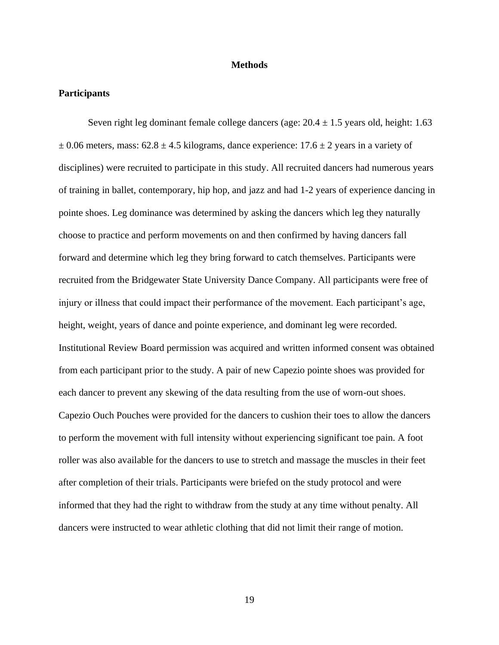#### **Methods**

#### <span id="page-26-1"></span><span id="page-26-0"></span>**Participants**

Seven right leg dominant female college dancers (age:  $20.4 \pm 1.5$  years old, height: 1.63  $\pm$  0.06 meters, mass: 62.8  $\pm$  4.5 kilograms, dance experience: 17.6  $\pm$  2 years in a variety of disciplines) were recruited to participate in this study. All recruited dancers had numerous years of training in ballet, contemporary, hip hop, and jazz and had 1-2 years of experience dancing in pointe shoes. Leg dominance was determined by asking the dancers which leg they naturally choose to practice and perform movements on and then confirmed by having dancers fall forward and determine which leg they bring forward to catch themselves. Participants were recruited from the Bridgewater State University Dance Company. All participants were free of injury or illness that could impact their performance of the movement. Each participant's age, height, weight, years of dance and pointe experience, and dominant leg were recorded. Institutional Review Board permission was acquired and written informed consent was obtained from each participant prior to the study. A pair of new Capezio pointe shoes was provided for each dancer to prevent any skewing of the data resulting from the use of worn-out shoes. Capezio Ouch Pouches were provided for the dancers to cushion their toes to allow the dancers to perform the movement with full intensity without experiencing significant toe pain. A foot roller was also available for the dancers to use to stretch and massage the muscles in their feet after completion of their trials. Participants were briefed on the study protocol and were informed that they had the right to withdraw from the study at any time without penalty. All dancers were instructed to wear athletic clothing that did not limit their range of motion.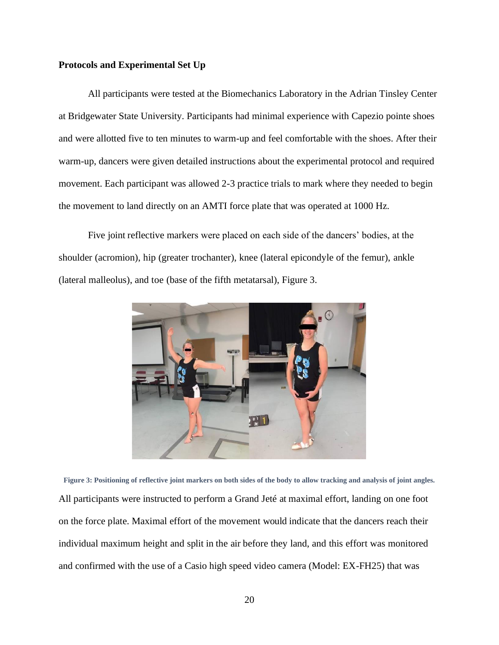#### <span id="page-27-0"></span>**Protocols and Experimental Set Up**

All participants were tested at the Biomechanics Laboratory in the Adrian Tinsley Center at Bridgewater State University. Participants had minimal experience with Capezio pointe shoes and were allotted five to ten minutes to warm-up and feel comfortable with the shoes. After their warm-up, dancers were given detailed instructions about the experimental protocol and required movement. Each participant was allowed 2-3 practice trials to mark where they needed to begin the movement to land directly on an AMTI force plate that was operated at 1000 Hz.

Five joint reflective markers were placed on each side of the dancers' bodies, at the shoulder (acromion), hip (greater trochanter), knee (lateral epicondyle of the femur), ankle (lateral malleolus), and toe (base of the fifth metatarsal), Figure 3.



**Figure 3: Positioning of reflective joint markers on both sides of the body to allow tracking and analysis of joint angles.** All participants were instructed to perform a Grand Jeté at maximal effort, landing on one foot on the force plate. Maximal effort of the movement would indicate that the dancers reach their individual maximum height and split in the air before they land, and this effort was monitored and confirmed with the use of a Casio high speed video camera (Model: EX-FH25) that was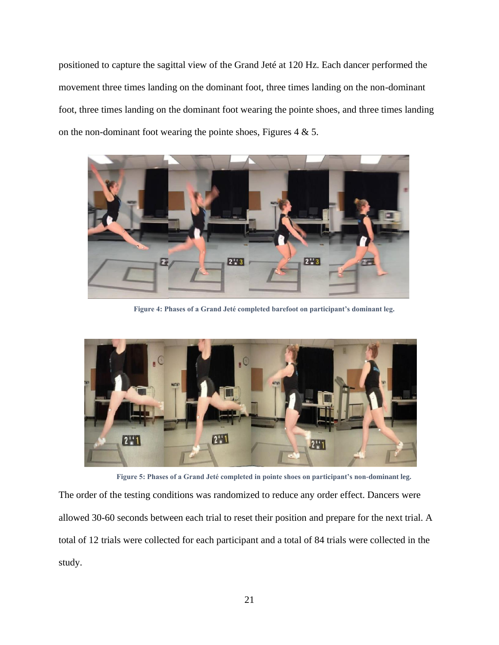positioned to capture the sagittal view of the Grand Jeté at 120 Hz. Each dancer performed the movement three times landing on the dominant foot, three times landing on the non-dominant foot, three times landing on the dominant foot wearing the pointe shoes, and three times landing on the non-dominant foot wearing the pointe shoes, Figures 4 & 5.



**Figure 4: Phases of a Grand Jeté completed barefoot on participant's dominant leg.**



**Figure 5: Phases of a Grand Jeté completed in pointe shoes on participant's non-dominant leg.**

The order of the testing conditions was randomized to reduce any order effect. Dancers were allowed 30-60 seconds between each trial to reset their position and prepare for the next trial. A total of 12 trials were collected for each participant and a total of 84 trials were collected in the study.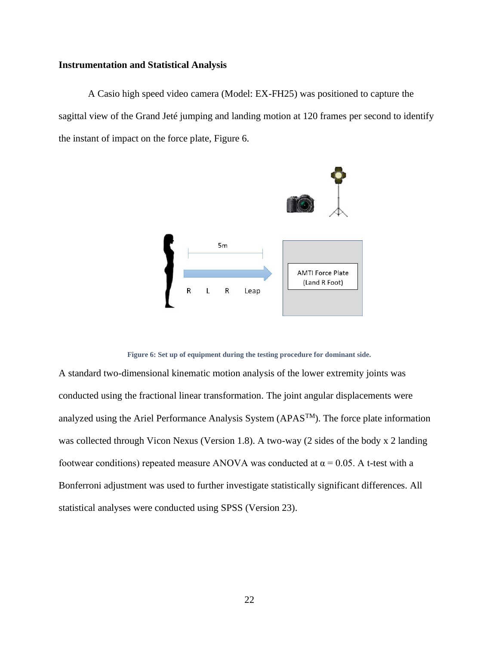#### <span id="page-29-0"></span>**Instrumentation and Statistical Analysis**

A Casio high speed video camera (Model: EX-FH25) was positioned to capture the sagittal view of the Grand Jeté jumping and landing motion at 120 frames per second to identify the instant of impact on the force plate, Figure 6.



**Figure 6: Set up of equipment during the testing procedure for dominant side.**

A standard two-dimensional kinematic motion analysis of the lower extremity joints was conducted using the fractional linear transformation. The joint angular displacements were analyzed using the Ariel Performance Analysis System ( $APAS<sup>TM</sup>$ ). The force plate information was collected through Vicon Nexus (Version 1.8). A two-way (2 sides of the body x 2 landing footwear conditions) repeated measure ANOVA was conducted at  $\alpha$  = 0.05. A t-test with a Bonferroni adjustment was used to further investigate statistically significant differences. All statistical analyses were conducted using SPSS (Version 23).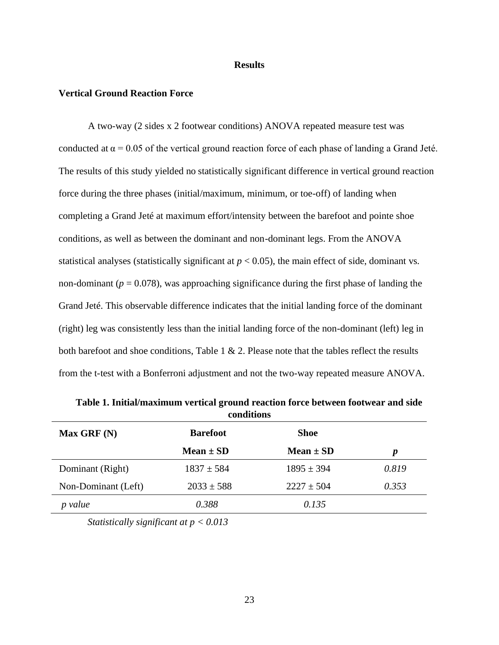#### **Results**

#### <span id="page-30-1"></span><span id="page-30-0"></span>**Vertical Ground Reaction Force**

A two-way (2 sides x 2 footwear conditions) ANOVA repeated measure test was conducted at  $\alpha$  = 0.05 of the vertical ground reaction force of each phase of landing a Grand Jeté. The results of this study yielded no statistically significant difference in vertical ground reaction force during the three phases (initial/maximum, minimum, or toe-off) of landing when completing a Grand Jeté at maximum effort/intensity between the barefoot and pointe shoe conditions, as well as between the dominant and non-dominant legs. From the ANOVA statistical analyses (statistically significant at  $p < 0.05$ ), the main effect of side, dominant vs. non-dominant ( $p = 0.078$ ), was approaching significance during the first phase of landing the Grand Jeté. This observable difference indicates that the initial landing force of the dominant (right) leg was consistently less than the initial landing force of the non-dominant (left) leg in both barefoot and shoe conditions, Table  $1 \& 2$ . Please note that the tables reflect the results from the t-test with a Bonferroni adjustment and not the two-way repeated measure ANOVA.

|                     | conunuus        |                |                  |
|---------------------|-----------------|----------------|------------------|
| Max GRF(N)          | <b>Barefoot</b> | <b>Shoe</b>    |                  |
|                     | Mean $\pm$ SD   | Mean $\pm$ SD  | $\boldsymbol{p}$ |
| Dominant (Right)    | $1837 \pm 584$  | $1895 \pm 394$ | 0.819            |
| Non-Dominant (Left) | $2033 \pm 588$  | $2227 \pm 504$ | 0.353            |
| value               | 0.388           | 0.135          |                  |

**Table 1. Initial/maximum vertical ground reaction force between footwear and side conditions**

*Statistically significant at p < 0.013*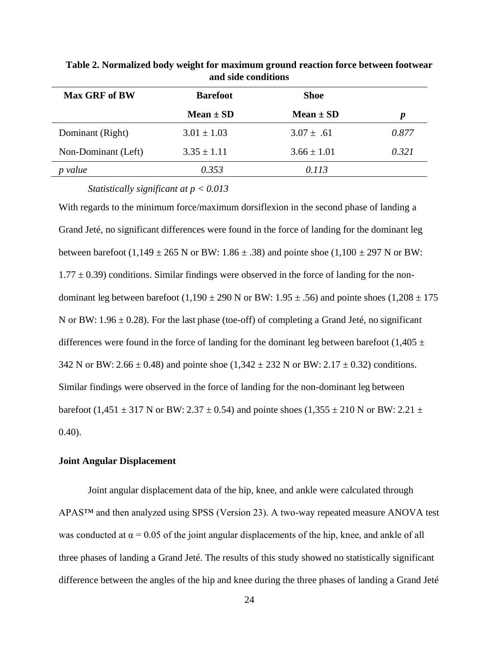| <b>Max GRF of BW</b> | <b>Barefoot</b> | <b>Shoe</b>     |                  |
|----------------------|-----------------|-----------------|------------------|
|                      | Mean $\pm$ SD   | Mean $\pm$ SD   | $\boldsymbol{p}$ |
| Dominant (Right)     | $3.01 \pm 1.03$ | $3.07 \pm .61$  | 0.877            |
| Non-Dominant (Left)  | $3.35 \pm 1.11$ | $3.66 \pm 1.01$ | 0.321            |
| value                | 0.353           | 0.113           |                  |

**Table 2. Normalized body weight for maximum ground reaction force between footwear and side conditions**

*Statistically significant at p < 0.013*

With regards to the minimum force/maximum dorsiflexion in the second phase of landing a Grand Jeté, no significant differences were found in the force of landing for the dominant leg between barefoot (1,149  $\pm$  265 N or BW: 1.86  $\pm$  .38) and pointe shoe (1,100  $\pm$  297 N or BW:  $1.77 \pm 0.39$ ) conditions. Similar findings were observed in the force of landing for the nondominant leg between barefoot (1,190  $\pm$  290 N or BW: 1.95  $\pm$  .56) and pointe shoes (1,208  $\pm$  175 N or BW:  $1.96 \pm 0.28$ ). For the last phase (toe-off) of completing a Grand Jeté, no significant differences were found in the force of landing for the dominant leg between barefoot (1,405  $\pm$ 342 N or BW: 2.66  $\pm$  0.48) and pointe shoe (1,342  $\pm$  232 N or BW: 2.17  $\pm$  0.32) conditions. Similar findings were observed in the force of landing for the non-dominant leg between barefoot (1,451  $\pm$  317 N or BW: 2.37  $\pm$  0.54) and pointe shoes (1,355  $\pm$  210 N or BW: 2.21  $\pm$ 0.40).

#### <span id="page-31-0"></span>**Joint Angular Displacement**

Joint angular displacement data of the hip, knee, and ankle were calculated through APAS™ and then analyzed using SPSS (Version 23). A two-way repeated measure ANOVA test was conducted at  $\alpha$  = 0.05 of the joint angular displacements of the hip, knee, and ankle of all three phases of landing a Grand Jeté. The results of this study showed no statistically significant difference between the angles of the hip and knee during the three phases of landing a Grand Jeté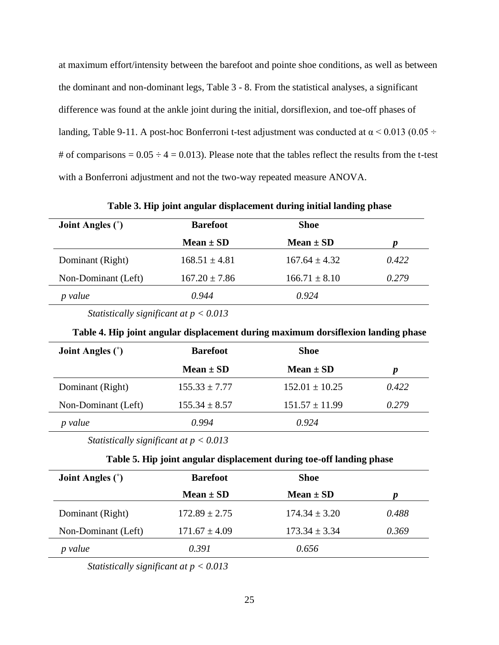at maximum effort/intensity between the barefoot and pointe shoe conditions, as well as between the dominant and non-dominant legs, Table 3 - 8. From the statistical analyses, a significant difference was found at the ankle joint during the initial, dorsiflexion, and toe-off phases of landing, Table 9-11. A post-hoc Bonferroni t-test adjustment was conducted at  $\alpha$  < 0.013 (0.05 ÷ # of comparisons =  $0.05 \div 4 = 0.013$ . Please note that the tables reflect the results from the t-test with a Bonferroni adjustment and not the two-way repeated measure ANOVA.

**Table 3. Hip joint angular displacement during initial landing phase**

| <b>Joint Angles</b> $(°)$ | <b>Barefoot</b>   | <b>Shoe</b>       |       |
|---------------------------|-------------------|-------------------|-------|
|                           | Mean $\pm$ SD     | $Mean \pm SD$     |       |
| Dominant (Right)          | $168.51 \pm 4.81$ | $167.64 \pm 4.32$ | 0.422 |
| Non-Dominant (Left)       | $167.20 \pm 7.86$ | $166.71 \pm 8.10$ | 0.279 |
| p value                   | 0.944             | 0.924             |       |

*Statistically significant at p < 0.013*

|  |  |  |  | Table 4. Hip joint angular displacement during maximum dorsiflexion landing phase |  |
|--|--|--|--|-----------------------------------------------------------------------------------|--|
|  |  |  |  |                                                                                   |  |
|  |  |  |  |                                                                                   |  |
|  |  |  |  |                                                                                   |  |

| <b>Joint Angles</b> (°) | <b>Barefoot</b>   | <b>Shoe</b>        |       |
|-------------------------|-------------------|--------------------|-------|
|                         | Mean $\pm$ SD     | Mean $\pm$ SD      | p     |
| Dominant (Right)        | $155.33 \pm 7.77$ | $152.01 \pm 10.25$ | 0.422 |
| Non-Dominant (Left)     | $155.34 \pm 8.57$ | $151.57 \pm 11.99$ | 0.279 |
| value                   | 0.994             | 0.924              |       |

*Statistically significant at p < 0.013*

#### **Table 5. Hip joint angular displacement during toe-off landing phase**

| <b>Joint Angles</b> $(°)$ | <b>Barefoot</b>   | <b>Shoe</b>       |       |
|---------------------------|-------------------|-------------------|-------|
|                           | Mean $\pm$ SD     | Mean $\pm$ SD     | Ŋ     |
| Dominant (Right)          | $172.89 \pm 2.75$ | $174.34 \pm 3.20$ | 0.488 |
| Non-Dominant (Left)       | $171.67 \pm 4.09$ | $173.34 \pm 3.34$ | 0.369 |
| value                     | 0.391             | 0.656             |       |

*Statistically significant at p < 0.013*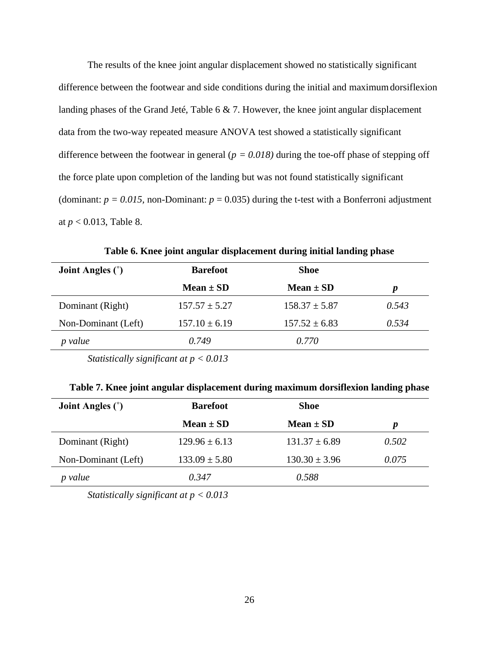The results of the knee joint angular displacement showed no statistically significant difference between the footwear and side conditions during the initial and maximumdorsiflexion landing phases of the Grand Jeté, Table 6 & 7. However, the knee joint angular displacement data from the two-way repeated measure ANOVA test showed a statistically significant difference between the footwear in general ( $p = 0.018$ ) during the toe-off phase of stepping off the force plate upon completion of the landing but was not found statistically significant (dominant:  $p = 0.015$ , non-Dominant:  $p = 0.035$ ) during the t-test with a Bonferroni adjustment at *p* < 0.013, Table 8.

**Table 6. Knee joint angular displacement during initial landing phase**

| <b>Joint Angles</b> $(°)$ | <b>Barefoot</b>   | <b>Shoe</b>       |                  |
|---------------------------|-------------------|-------------------|------------------|
|                           | Mean $\pm$ SD     | Mean $\pm$ SD     | $\boldsymbol{p}$ |
| Dominant (Right)          | $157.57 \pm 5.27$ | $158.37 \pm 5.87$ | 0.543            |
| Non-Dominant (Left)       | $157.10 \pm 6.19$ | $157.52 \pm 6.83$ | 0.534            |
| p value                   | 0.749             | 0.770             |                  |
|                           |                   |                   |                  |

*Statistically significant at p < 0.013*

| <b>Joint Angles</b> (°) | <b>Barefoot</b>   | <b>Shoe</b>       |       |
|-------------------------|-------------------|-------------------|-------|
|                         | Mean $\pm$ SD     | Mean $\pm$ SD     | p     |
| Dominant (Right)        | $129.96 \pm 6.13$ | $131.37 \pm 6.89$ | 0.502 |
| Non-Dominant (Left)     | $133.09 \pm 5.80$ | $130.30 \pm 3.96$ | 0.075 |
| value                   | 0.347             | 0.588             |       |

*Statistically significant at p < 0.013*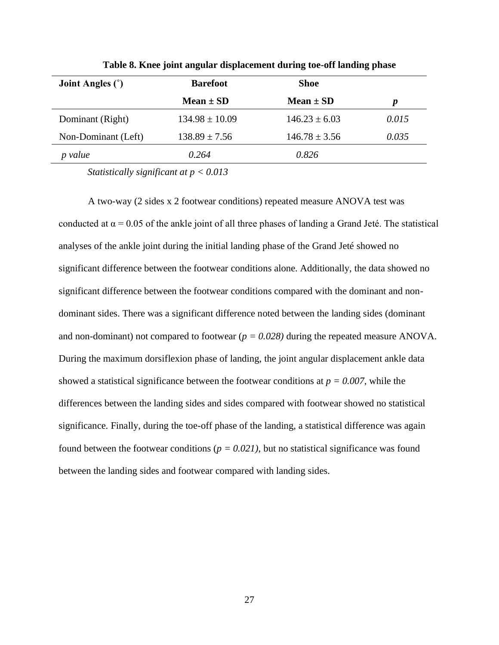| <b>Joint Angles</b> (°) | <b>Barefoot</b>    | <b>Shoe</b>       |                  |
|-------------------------|--------------------|-------------------|------------------|
|                         | Mean $\pm$ SD      | Mean $\pm$ SD     | $\boldsymbol{p}$ |
| Dominant (Right)        | $134.98 \pm 10.09$ | $146.23 \pm 6.03$ | 0.015            |
| Non-Dominant (Left)     | $138.89 \pm 7.56$  | $146.78 \pm 3.56$ | 0.035            |
| value                   | 0.264              | 0.826             |                  |

**Table 8. Knee joint angular displacement during toe-off landing phase**

*Statistically significant at p < 0.013*

A two-way (2 sides x 2 footwear conditions) repeated measure ANOVA test was conducted at  $\alpha$  = 0.05 of the ankle joint of all three phases of landing a Grand Jeté. The statistical analyses of the ankle joint during the initial landing phase of the Grand Jeté showed no significant difference between the footwear conditions alone. Additionally, the data showed no significant difference between the footwear conditions compared with the dominant and nondominant sides. There was a significant difference noted between the landing sides (dominant and non-dominant) not compared to footwear (*p = 0.028)* during the repeated measure ANOVA*.*  During the maximum dorsiflexion phase of landing, the joint angular displacement ankle data showed a statistical significance between the footwear conditions at  $p = 0.007$ , while the differences between the landing sides and sides compared with footwear showed no statistical significance. Finally, during the toe-off phase of the landing, a statistical difference was again found between the footwear conditions ( $p = 0.021$ ), but no statistical significance was found between the landing sides and footwear compared with landing sides.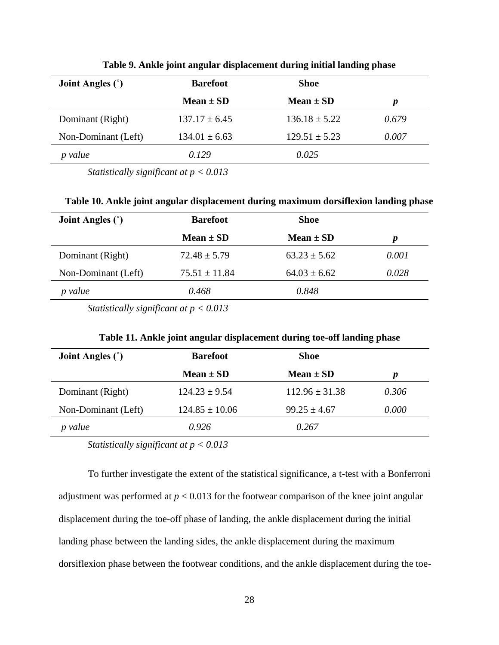| <b>Joint Angles</b> (°) | <b>Barefoot</b>   | <b>Shoe</b>       |       |
|-------------------------|-------------------|-------------------|-------|
|                         | Mean $\pm$ SD     | Mean $\pm$ SD     | p     |
| Dominant (Right)        | $137.17 \pm 6.45$ | $136.18 \pm 5.22$ | 0.679 |
| Non-Dominant (Left)     | $134.01 \pm 6.63$ | $129.51 \pm 5.23$ | 0.007 |
| value                   | 0.129             | 0.025             |       |

**Table 9. Ankle joint angular displacement during initial landing phase**

*Statistically significant at p < 0.013*

**Table 10. Ankle joint angular displacement during maximum dorsiflexion landing phase**

| <b>Joint Angles</b> $(°)$ | <b>Barefoot</b>   | <b>Shoe</b>      |                  |
|---------------------------|-------------------|------------------|------------------|
|                           | Mean $\pm$ SD     | Mean $\pm$ SD    | $\boldsymbol{p}$ |
| Dominant (Right)          | $72.48 \pm 5.79$  | $63.23 \pm 5.62$ | 0.001            |
| Non-Dominant (Left)       | $75.51 \pm 11.84$ | $64.03 \pm 6.62$ | 0.028            |
| value                     | 0.468             | 0.848            |                  |
|                           |                   |                  |                  |

*Statistically significant at p < 0.013*

| Table 11. Ankle joint angular displacement during toe-off landing phase |  |  |  |
|-------------------------------------------------------------------------|--|--|--|
|                                                                         |  |  |  |

| <b>Joint Angles</b> (°) | <b>Barefoot</b>    | <b>Shoe</b>        |       |
|-------------------------|--------------------|--------------------|-------|
|                         | Mean $\pm$ SD      | Mean $\pm$ SD      | p     |
| Dominant (Right)        | $124.23 \pm 9.54$  | $112.96 \pm 31.38$ | 0.306 |
| Non-Dominant (Left)     | $124.85 \pm 10.06$ | $99.25 \pm 4.67$   | 0.000 |
| value                   | 0.926              | 0.267              |       |

*Statistically significant at p < 0.013*

To further investigate the extent of the statistical significance, a t-test with a Bonferroni adjustment was performed at  $p < 0.013$  for the footwear comparison of the knee joint angular displacement during the toe-off phase of landing, the ankle displacement during the initial landing phase between the landing sides, the ankle displacement during the maximum dorsiflexion phase between the footwear conditions, and the ankle displacement during the toe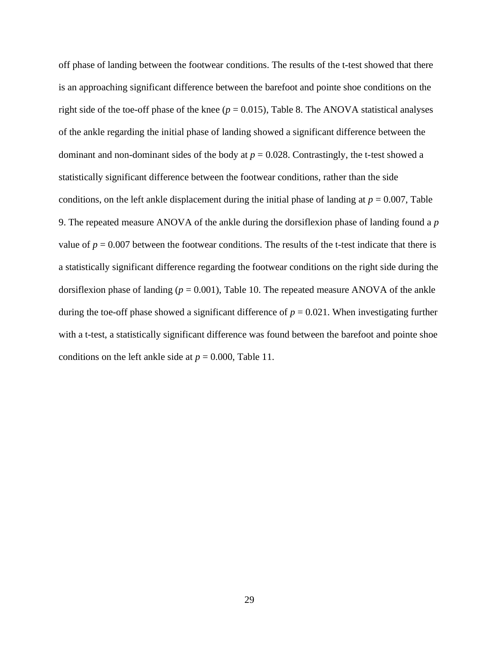off phase of landing between the footwear conditions. The results of the t-test showed that there is an approaching significant difference between the barefoot and pointe shoe conditions on the right side of the toe-off phase of the knee  $(p = 0.015)$ , Table 8. The ANOVA statistical analyses of the ankle regarding the initial phase of landing showed a significant difference between the dominant and non-dominant sides of the body at  $p = 0.028$ . Contrastingly, the t-test showed a statistically significant difference between the footwear conditions, rather than the side conditions, on the left ankle displacement during the initial phase of landing at  $p = 0.007$ , Table 9. The repeated measure ANOVA of the ankle during the dorsiflexion phase of landing found a *p*  value of  $p = 0.007$  between the footwear conditions. The results of the t-test indicate that there is a statistically significant difference regarding the footwear conditions on the right side during the dorsiflexion phase of landing ( $p = 0.001$ ), Table 10. The repeated measure ANOVA of the ankle during the toe-off phase showed a significant difference of  $p = 0.021$ . When investigating further with a t-test, a statistically significant difference was found between the barefoot and pointe shoe conditions on the left ankle side at  $p = 0.000$ , Table 11.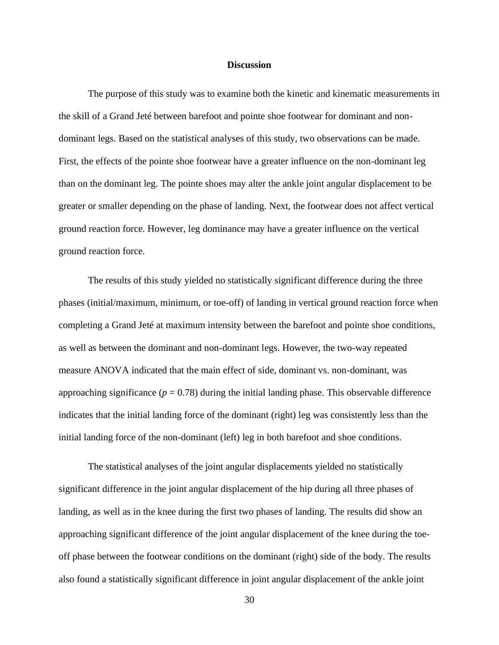#### **Discussion**

<span id="page-37-0"></span>The purpose of this study was to examine both the kinetic and kinematic measurements in the skill of a Grand Jeté between barefoot and pointe shoe footwear for dominant and nondominant legs. Based on the statistical analyses of this study, two observations can be made. First, the effects of the pointe shoe footwear have a greater influence on the non-dominant leg than on the dominant leg. The pointe shoes may alter the ankle joint angular displacement to be greater or smaller depending on the phase of landing. Next, the footwear does not affect vertical ground reaction force. However, leg dominance may have a greater influence on the vertical ground reaction force.

The results of this study yielded no statistically significant difference during the three phases (initial/maximum, minimum, or toe-off) of landing in vertical ground reaction force when completing a Grand Jeté at maximum intensity between the barefoot and pointe shoe conditions, as well as between the dominant and non-dominant legs. However, the two-way repeated measure ANOVA indicated that the main effect of side, dominant vs. non-dominant, was approaching significance  $(p = 0.78)$  during the initial landing phase. This observable difference indicates that the initial landing force of the dominant (right) leg was consistently less than the initial landing force of the non-dominant (left) leg in both barefoot and shoe conditions.

The statistical analyses of the joint angular displacements yielded no statistically significant difference in the joint angular displacement of the hip during all three phases of landing, as well as in the knee during the first two phases of landing. The results did show an approaching significant difference of the joint angular displacement of the knee during the toeoff phase between the footwear conditions on the dominant (right) side of the body. The results also found a statistically significant difference in joint angular displacement of the ankle joint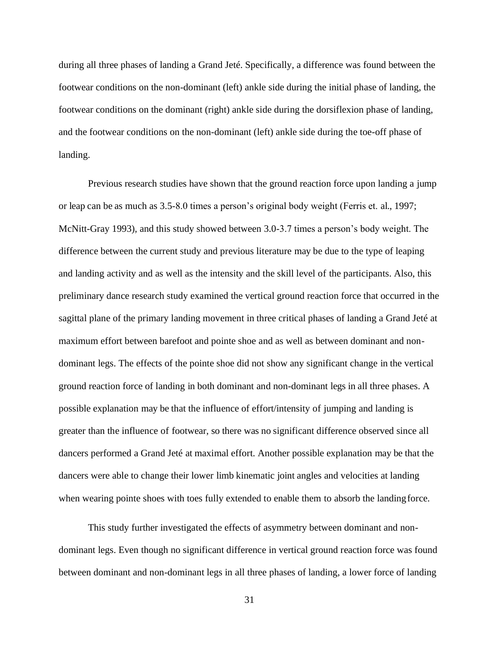during all three phases of landing a Grand Jeté. Specifically, a difference was found between the footwear conditions on the non-dominant (left) ankle side during the initial phase of landing, the footwear conditions on the dominant (right) ankle side during the dorsiflexion phase of landing, and the footwear conditions on the non-dominant (left) ankle side during the toe-off phase of landing.

Previous research studies have shown that the ground reaction force upon landing a jump or leap can be as much as 3.5-8.0 times a person's original body weight (Ferris et. al., 1997; McNitt-Gray 1993), and this study showed between 3.0-3.7 times a person's body weight. The difference between the current study and previous literature may be due to the type of leaping and landing activity and as well as the intensity and the skill level of the participants. Also, this preliminary dance research study examined the vertical ground reaction force that occurred in the sagittal plane of the primary landing movement in three critical phases of landing a Grand Jeté at maximum effort between barefoot and pointe shoe and as well as between dominant and nondominant legs. The effects of the pointe shoe did not show any significant change in the vertical ground reaction force of landing in both dominant and non-dominant legs in all three phases. A possible explanation may be that the influence of effort/intensity of jumping and landing is greater than the influence of footwear, so there was no significant difference observed since all dancers performed a Grand Jeté at maximal effort. Another possible explanation may be that the dancers were able to change their lower limb kinematic joint angles and velocities at landing when wearing pointe shoes with toes fully extended to enable them to absorb the landing force.

This study further investigated the effects of asymmetry between dominant and nondominant legs. Even though no significant difference in vertical ground reaction force was found between dominant and non-dominant legs in all three phases of landing, a lower force of landing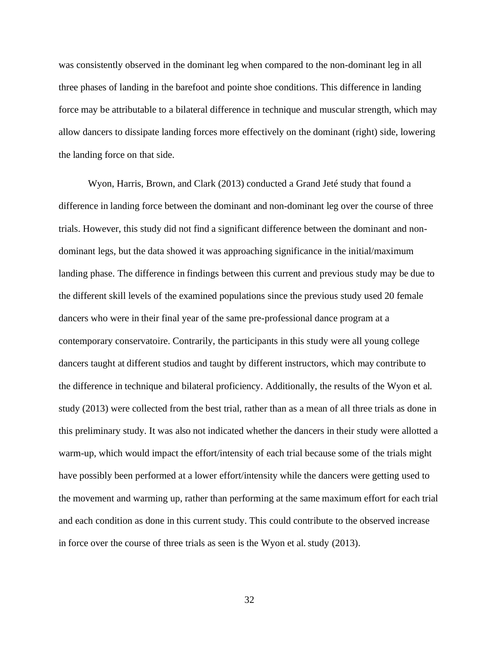was consistently observed in the dominant leg when compared to the non-dominant leg in all three phases of landing in the barefoot and pointe shoe conditions. This difference in landing force may be attributable to a bilateral difference in technique and muscular strength, which may allow dancers to dissipate landing forces more effectively on the dominant (right) side, lowering the landing force on that side.

Wyon, Harris, Brown, and Clark (2013) conducted a Grand Jeté study that found a difference in landing force between the dominant and non-dominant leg over the course of three trials. However, this study did not find a significant difference between the dominant and nondominant legs, but the data showed it was approaching significance in the initial/maximum landing phase. The difference in findings between this current and previous study may be due to the different skill levels of the examined populations since the previous study used 20 female dancers who were in their final year of the same pre-professional dance program at a contemporary conservatoire. Contrarily, the participants in this study were all young college dancers taught at different studios and taught by different instructors, which may contribute to the difference in technique and bilateral proficiency. Additionally, the results of the Wyon et al. study (2013) were collected from the best trial, rather than as a mean of all three trials as done in this preliminary study. It was also not indicated whether the dancers in their study were allotted a warm-up, which would impact the effort/intensity of each trial because some of the trials might have possibly been performed at a lower effort/intensity while the dancers were getting used to the movement and warming up, rather than performing at the same maximum effort for each trial and each condition as done in this current study. This could contribute to the observed increase in force over the course of three trials as seen is the Wyon et al. study (2013).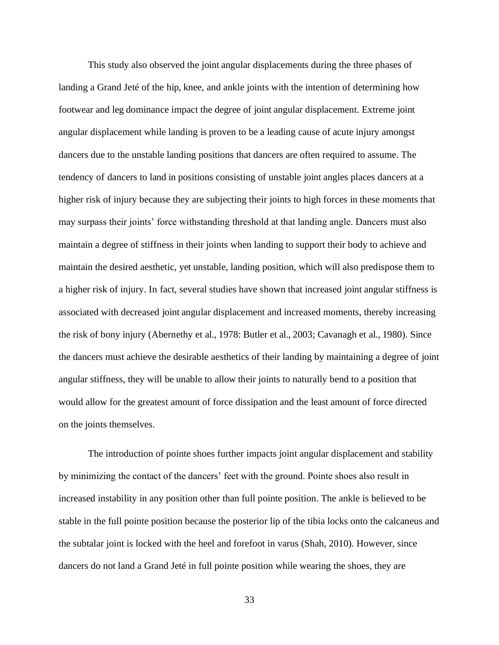This study also observed the joint angular displacements during the three phases of landing a Grand Jeté of the hip, knee, and ankle joints with the intention of determining how footwear and leg dominance impact the degree of joint angular displacement. Extreme joint angular displacement while landing is proven to be a leading cause of acute injury amongst dancers due to the unstable landing positions that dancers are often required to assume. The tendency of dancers to land in positions consisting of unstable joint angles places dancers at a higher risk of injury because they are subjecting their joints to high forces in these moments that may surpass their joints' force withstanding threshold at that landing angle. Dancers must also maintain a degree of stiffness in their joints when landing to support their body to achieve and maintain the desired aesthetic, yet unstable, landing position, which will also predispose them to a higher risk of injury. In fact, several studies have shown that increased joint angular stiffness is associated with decreased joint angular displacement and increased moments, thereby increasing the risk of bony injury (Abernethy et al., 1978: Butler et al., 2003; Cavanagh et al., 1980). Since the dancers must achieve the desirable aesthetics of their landing by maintaining a degree of joint angular stiffness, they will be unable to allow their joints to naturally bend to a position that would allow for the greatest amount of force dissipation and the least amount of force directed on the joints themselves.

The introduction of pointe shoes further impacts joint angular displacement and stability by minimizing the contact of the dancers' feet with the ground. Pointe shoes also result in increased instability in any position other than full pointe position. The ankle is believed to be stable in the full pointe position because the posterior lip of the tibia locks onto the calcaneus and the subtalar joint is locked with the heel and forefoot in varus (Shah, 2010). However, since dancers do not land a Grand Jeté in full pointe position while wearing the shoes, they are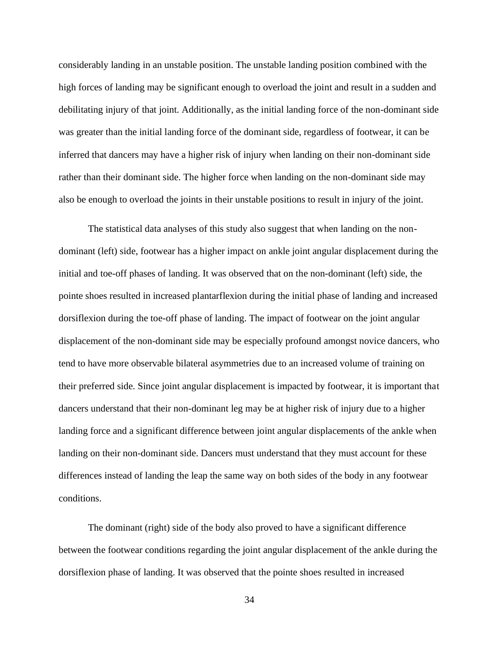considerably landing in an unstable position. The unstable landing position combined with the high forces of landing may be significant enough to overload the joint and result in a sudden and debilitating injury of that joint. Additionally, as the initial landing force of the non-dominant side was greater than the initial landing force of the dominant side, regardless of footwear, it can be inferred that dancers may have a higher risk of injury when landing on their non-dominant side rather than their dominant side. The higher force when landing on the non-dominant side may also be enough to overload the joints in their unstable positions to result in injury of the joint.

The statistical data analyses of this study also suggest that when landing on the nondominant (left) side, footwear has a higher impact on ankle joint angular displacement during the initial and toe-off phases of landing. It was observed that on the non-dominant (left) side, the pointe shoes resulted in increased plantarflexion during the initial phase of landing and increased dorsiflexion during the toe-off phase of landing. The impact of footwear on the joint angular displacement of the non-dominant side may be especially profound amongst novice dancers, who tend to have more observable bilateral asymmetries due to an increased volume of training on their preferred side. Since joint angular displacement is impacted by footwear, it is important that dancers understand that their non-dominant leg may be at higher risk of injury due to a higher landing force and a significant difference between joint angular displacements of the ankle when landing on their non-dominant side. Dancers must understand that they must account for these differences instead of landing the leap the same way on both sides of the body in any footwear conditions.

The dominant (right) side of the body also proved to have a significant difference between the footwear conditions regarding the joint angular displacement of the ankle during the dorsiflexion phase of landing. It was observed that the pointe shoes resulted in increased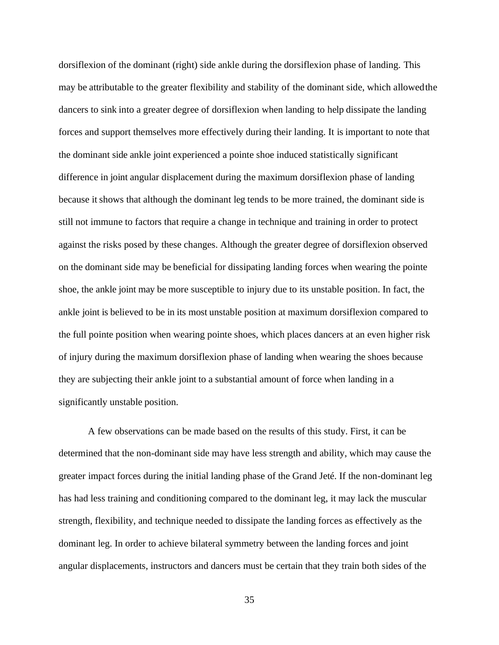dorsiflexion of the dominant (right) side ankle during the dorsiflexion phase of landing. This may be attributable to the greater flexibility and stability of the dominant side, which allowedthe dancers to sink into a greater degree of dorsiflexion when landing to help dissipate the landing forces and support themselves more effectively during their landing. It is important to note that the dominant side ankle joint experienced a pointe shoe induced statistically significant difference in joint angular displacement during the maximum dorsiflexion phase of landing because it shows that although the dominant leg tends to be more trained, the dominant side is still not immune to factors that require a change in technique and training in order to protect against the risks posed by these changes. Although the greater degree of dorsiflexion observed on the dominant side may be beneficial for dissipating landing forces when wearing the pointe shoe, the ankle joint may be more susceptible to injury due to its unstable position. In fact, the ankle joint is believed to be in its most unstable position at maximum dorsiflexion compared to the full pointe position when wearing pointe shoes, which places dancers at an even higher risk of injury during the maximum dorsiflexion phase of landing when wearing the shoes because they are subjecting their ankle joint to a substantial amount of force when landing in a significantly unstable position.

A few observations can be made based on the results of this study. First, it can be determined that the non-dominant side may have less strength and ability, which may cause the greater impact forces during the initial landing phase of the Grand Jeté. If the non-dominant leg has had less training and conditioning compared to the dominant leg, it may lack the muscular strength, flexibility, and technique needed to dissipate the landing forces as effectively as the dominant leg. In order to achieve bilateral symmetry between the landing forces and joint angular displacements, instructors and dancers must be certain that they train both sides of the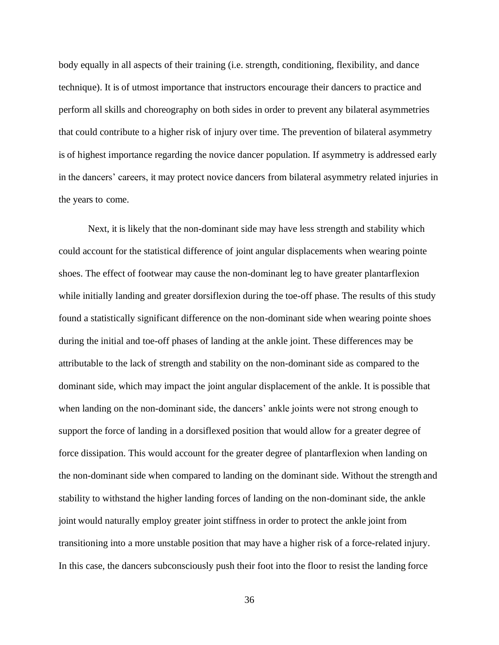body equally in all aspects of their training (i.e. strength, conditioning, flexibility, and dance technique). It is of utmost importance that instructors encourage their dancers to practice and perform all skills and choreography on both sides in order to prevent any bilateral asymmetries that could contribute to a higher risk of injury over time. The prevention of bilateral asymmetry is of highest importance regarding the novice dancer population. If asymmetry is addressed early in the dancers' careers, it may protect novice dancers from bilateral asymmetry related injuries in the years to come.

Next, it is likely that the non-dominant side may have less strength and stability which could account for the statistical difference of joint angular displacements when wearing pointe shoes. The effect of footwear may cause the non-dominant leg to have greater plantarflexion while initially landing and greater dorsiflexion during the toe-off phase. The results of this study found a statistically significant difference on the non-dominant side when wearing pointe shoes during the initial and toe-off phases of landing at the ankle joint. These differences may be attributable to the lack of strength and stability on the non-dominant side as compared to the dominant side, which may impact the joint angular displacement of the ankle. It is possible that when landing on the non-dominant side, the dancers' ankle joints were not strong enough to support the force of landing in a dorsiflexed position that would allow for a greater degree of force dissipation. This would account for the greater degree of plantarflexion when landing on the non-dominant side when compared to landing on the dominant side. Without the strength and stability to withstand the higher landing forces of landing on the non-dominant side, the ankle joint would naturally employ greater joint stiffness in order to protect the ankle joint from transitioning into a more unstable position that may have a higher risk of a force-related injury. In this case, the dancers subconsciously push their foot into the floor to resist the landing force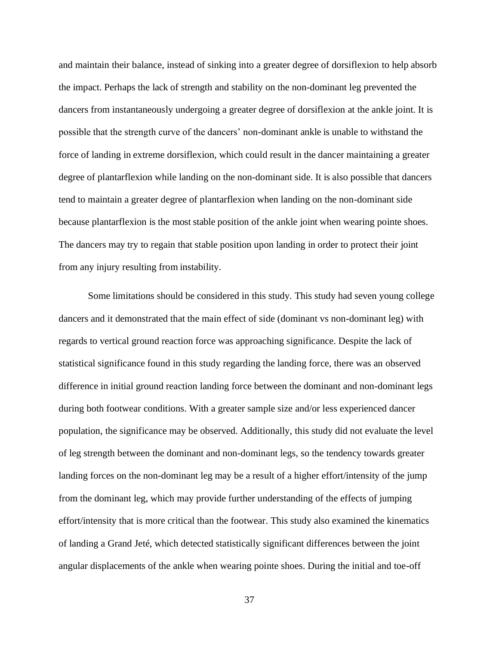and maintain their balance, instead of sinking into a greater degree of dorsiflexion to help absorb the impact. Perhaps the lack of strength and stability on the non-dominant leg prevented the dancers from instantaneously undergoing a greater degree of dorsiflexion at the ankle joint. It is possible that the strength curve of the dancers' non-dominant ankle is unable to withstand the force of landing in extreme dorsiflexion, which could result in the dancer maintaining a greater degree of plantarflexion while landing on the non-dominant side. It is also possible that dancers tend to maintain a greater degree of plantarflexion when landing on the non-dominant side because plantarflexion is the most stable position of the ankle joint when wearing pointe shoes. The dancers may try to regain that stable position upon landing in order to protect their joint from any injury resulting from instability.

Some limitations should be considered in this study. This study had seven young college dancers and it demonstrated that the main effect of side (dominant vs non-dominant leg) with regards to vertical ground reaction force was approaching significance. Despite the lack of statistical significance found in this study regarding the landing force, there was an observed difference in initial ground reaction landing force between the dominant and non-dominant legs during both footwear conditions. With a greater sample size and/or less experienced dancer population, the significance may be observed. Additionally, this study did not evaluate the level of leg strength between the dominant and non-dominant legs, so the tendency towards greater landing forces on the non-dominant leg may be a result of a higher effort/intensity of the jump from the dominant leg, which may provide further understanding of the effects of jumping effort/intensity that is more critical than the footwear. This study also examined the kinematics of landing a Grand Jeté, which detected statistically significant differences between the joint angular displacements of the ankle when wearing pointe shoes. During the initial and toe-off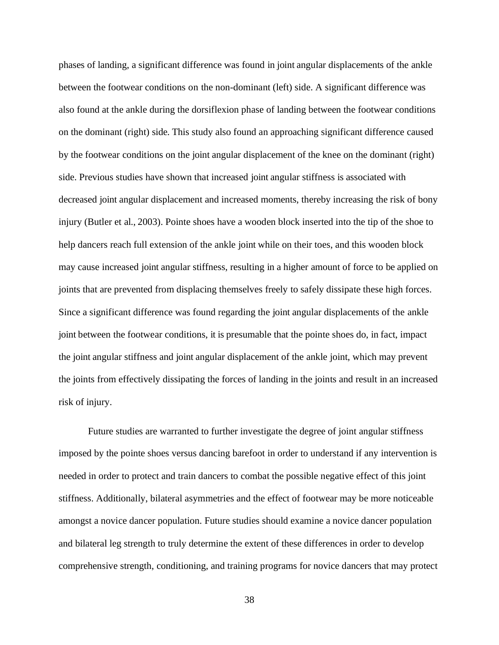phases of landing, a significant difference was found in joint angular displacements of the ankle between the footwear conditions on the non-dominant (left) side. A significant difference was also found at the ankle during the dorsiflexion phase of landing between the footwear conditions on the dominant (right) side. This study also found an approaching significant difference caused by the footwear conditions on the joint angular displacement of the knee on the dominant (right) side. Previous studies have shown that increased joint angular stiffness is associated with decreased joint angular displacement and increased moments, thereby increasing the risk of bony injury (Butler et al., 2003). Pointe shoes have a wooden block inserted into the tip of the shoe to help dancers reach full extension of the ankle joint while on their toes, and this wooden block may cause increased joint angular stiffness, resulting in a higher amount of force to be applied on joints that are prevented from displacing themselves freely to safely dissipate these high forces. Since a significant difference was found regarding the joint angular displacements of the ankle joint between the footwear conditions, it is presumable that the pointe shoes do, in fact, impact the joint angular stiffness and joint angular displacement of the ankle joint, which may prevent the joints from effectively dissipating the forces of landing in the joints and result in an increased risk of injury.

Future studies are warranted to further investigate the degree of joint angular stiffness imposed by the pointe shoes versus dancing barefoot in order to understand if any intervention is needed in order to protect and train dancers to combat the possible negative effect of this joint stiffness. Additionally, bilateral asymmetries and the effect of footwear may be more noticeable amongst a novice dancer population. Future studies should examine a novice dancer population and bilateral leg strength to truly determine the extent of these differences in order to develop comprehensive strength, conditioning, and training programs for novice dancers that may protect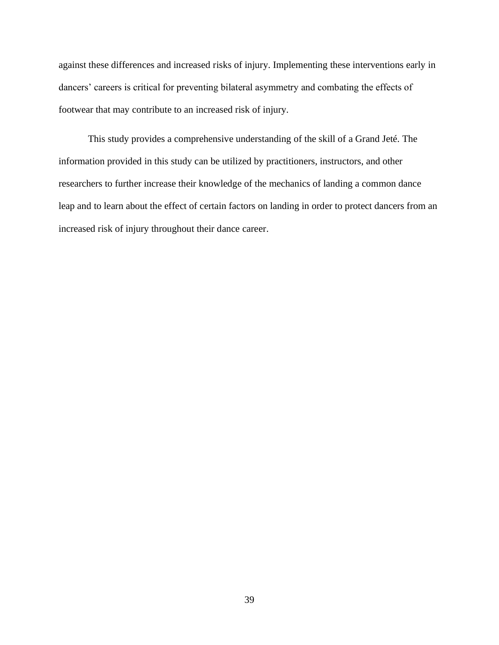against these differences and increased risks of injury. Implementing these interventions early in dancers' careers is critical for preventing bilateral asymmetry and combating the effects of footwear that may contribute to an increased risk of injury.

This study provides a comprehensive understanding of the skill of a Grand Jeté. The information provided in this study can be utilized by practitioners, instructors, and other researchers to further increase their knowledge of the mechanics of landing a common dance leap and to learn about the effect of certain factors on landing in order to protect dancers from an increased risk of injury throughout their dance career.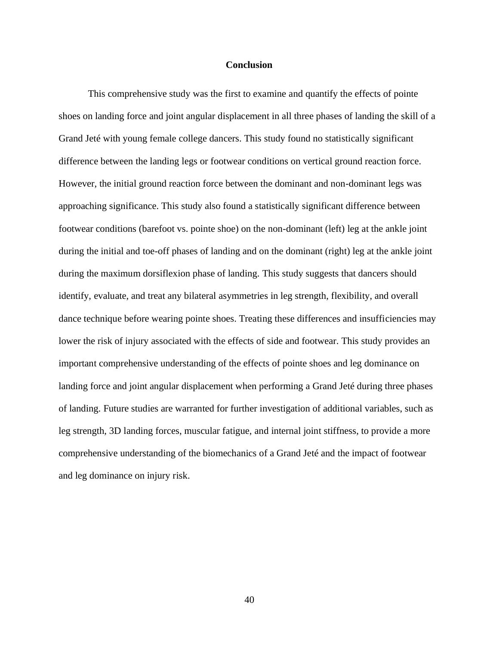#### **Conclusion**

<span id="page-47-0"></span>This comprehensive study was the first to examine and quantify the effects of pointe shoes on landing force and joint angular displacement in all three phases of landing the skill of a Grand Jeté with young female college dancers. This study found no statistically significant difference between the landing legs or footwear conditions on vertical ground reaction force. However, the initial ground reaction force between the dominant and non-dominant legs was approaching significance. This study also found a statistically significant difference between footwear conditions (barefoot vs. pointe shoe) on the non-dominant (left) leg at the ankle joint during the initial and toe-off phases of landing and on the dominant (right) leg at the ankle joint during the maximum dorsiflexion phase of landing. This study suggests that dancers should identify, evaluate, and treat any bilateral asymmetries in leg strength, flexibility, and overall dance technique before wearing pointe shoes. Treating these differences and insufficiencies may lower the risk of injury associated with the effects of side and footwear. This study provides an important comprehensive understanding of the effects of pointe shoes and leg dominance on landing force and joint angular displacement when performing a Grand Jeté during three phases of landing. Future studies are warranted for further investigation of additional variables, such as leg strength, 3D landing forces, muscular fatigue, and internal joint stiffness, to provide a more comprehensive understanding of the biomechanics of a Grand Jeté and the impact of footwear and leg dominance on injury risk.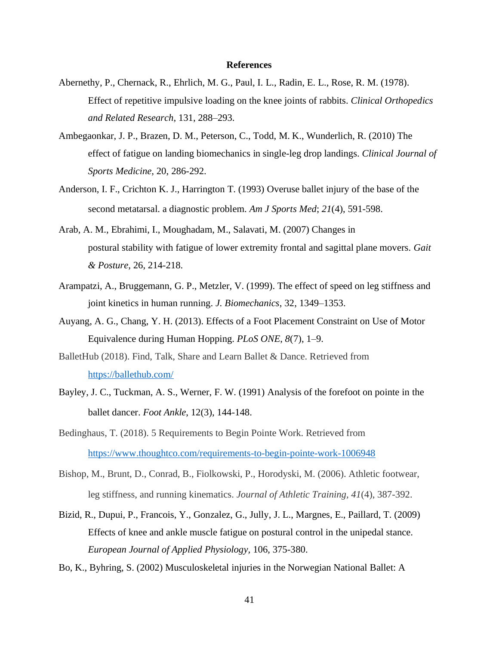#### **References**

- <span id="page-48-0"></span>Abernethy, P., Chernack, R., Ehrlich, M. G., Paul, I. L., Radin, E. L., Rose, R. M. (1978). Effect of repetitive impulsive loading on the knee joints of rabbits. *Clinical Orthopedics and Related Research*, 131, 288–293.
- Ambegaonkar, J. P., Brazen, D. M., Peterson, C., Todd, M. K., Wunderlich, R. (2010) The effect of fatigue on landing biomechanics in single-leg drop landings. *Clinical Journal of Sports Medicine,* 20, 286-292.
- Anderson, I. F., Crichton K. J., Harrington T. (1993) Overuse ballet injury of the base of the second metatarsal. a diagnostic problem. *Am J Sports Med*; *21*(4), 591-598.
- Arab, A. M., Ebrahimi, I., Moughadam, M., Salavati, M. (2007) Changes in postural stability with fatigue of lower extremity frontal and sagittal plane movers. *Gait & Posture*, 26, 214-218.
- Arampatzi, A., Bruggemann, G. P., Metzler, V. (1999). The effect of speed on leg stiffness and joint kinetics in human running. *J. Biomechanics*, 32, 1349–1353.
- Auyang, A. G., Chang, Y. H. (2013). Effects of a Foot Placement Constraint on Use of Motor Equivalence during Human Hopping. *PLoS ONE*, *8*(7), 1–9.
- BalletHub (2018). Find, Talk, Share and Learn Ballet & Dance. Retrieved from <https://ballethub.com/>
- Bayley, J. C., Tuckman, A. S., Werner, F. W. (1991) Analysis of the forefoot on pointe in the ballet dancer. *Foot Ankle*, 12(3), 144-148.
- Bedinghaus, T. (2018). 5 Requirements to Begin Pointe Work. Retrieved from <https://www.thoughtco.com/requirements-to-begin-pointe-work-1006948>
- Bishop, M., Brunt, D., Conrad, B., Fiolkowski, P., Horodyski, M. (2006). Athletic footwear, leg stiffness, and running kinematics. *Journal of Athletic Training, 41*(4), 387-392.
- Bizid, R., Dupui, P., Francois, Y., Gonzalez, G., Jully, J. L., Margnes, E., Paillard, T. (2009) Effects of knee and ankle muscle fatigue on postural control in the unipedal stance. *European Journal of Applied Physiology,* 106, 375-380.
- Bo, K., Byhring, S. (2002) Musculoskeletal injuries in the Norwegian National Ballet: A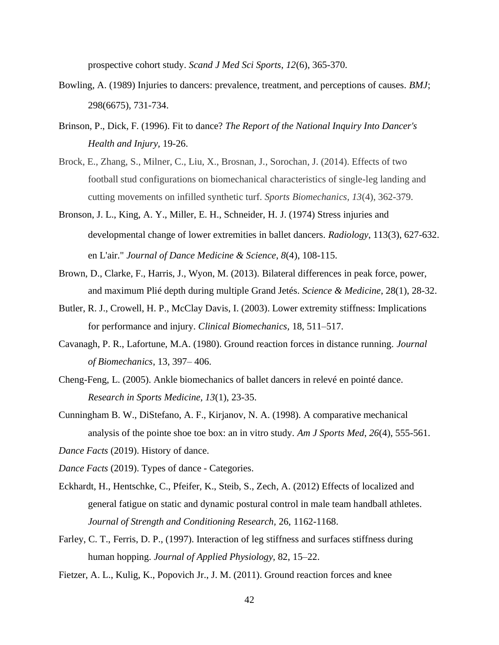prospective cohort study. *Scand J Med Sci Sports*, *12*(6), 365-370.

- Bowling, A. (1989) Injuries to dancers: prevalence, treatment, and perceptions of causes. *BMJ*; 298(6675), 731-734.
- Brinson, P., Dick, F. (1996). Fit to dance? *The Report of the National Inquiry Into Dancer's Health and Injury,* 19-26.
- Brock, E., Zhang, S., Milner, C., Liu, X., Brosnan, J., Sorochan, J. (2014). Effects of two football stud configurations on biomechanical characteristics of single-leg landing and cutting movements on infilled synthetic turf. *Sports Biomechanics, 13*(4), 362-379.
- Bronson, J. L., King, A. Y., Miller, E. H., Schneider, H. J. (1974) Stress injuries and developmental change of lower extremities in ballet dancers. *Radiology*, 113(3), 627-632. en L'air." *Journal of Dance Medicine & Science*, *8*(4), 108-115.
- Brown, D., Clarke, F., Harris, J., Wyon, M. (2013). Bilateral differences in peak force, power, and maximum Plié depth during multiple Grand Jetés. *Science & Medicine*, 28(1), 28-32.
- Butler, R. J., Crowell, H. P., McClay Davis, I. (2003). Lower extremity stiffness: Implications for performance and injury. *Clinical Biomechanics,* 18, 511–517.
- Cavanagh, P. R., Lafortune, M.A. (1980). Ground reaction forces in distance running*. Journal of Biomechanics*, 13, 397– 406.
- Cheng-Feng, L. (2005). Ankle biomechanics of ballet dancers in relevé en pointé dance. *Research in Sports Medicine, 13*(1), 23-35.
- Cunningham B. W., DiStefano, A. F., Kirjanov, N. A. (1998). A comparative mechanical analysis of the pointe shoe toe box: an in vitro study. *Am J Sports Med*, *26*(4), 555-561.
- *Dance Facts* (2019). History of dance.
- *Dance Facts* (2019). Types of dance Categories.
- Eckhardt, H., Hentschke, C., Pfeifer, K., Steib, S., Zech, A. (2012) Effects of localized and general fatigue on static and dynamic postural control in male team handball athletes. *Journal of Strength and Conditioning Research,* 26, 1162-1168.
- Farley, C. T., Ferris, D. P., (1997). Interaction of leg stiffness and surfaces stiffness during human hopping. *Journal of Applied Physiology,* 82, 15–22.
- Fietzer, A. L., Kulig, K., Popovich Jr., J. M. (2011). Ground reaction forces and knee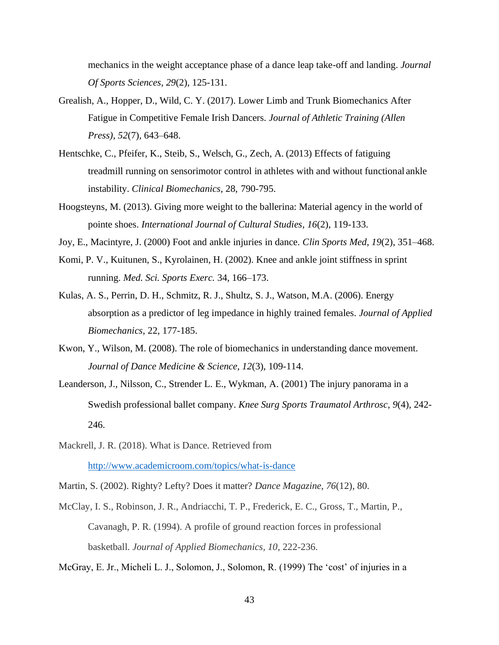mechanics in the weight acceptance phase of a dance leap take-off and landing. *Journal Of Sports Sciences*, *29*(2), 125-131.

- Grealish, A., Hopper, D., Wild, C. Y. (2017). Lower Limb and Trunk Biomechanics After Fatigue in Competitive Female Irish Dancers. *Journal of Athletic Training (Allen Press)*, *52*(7), 643–648.
- Hentschke, C., Pfeifer, K., Steib, S., Welsch, G., Zech, A. (2013) Effects of fatiguing treadmill running on sensorimotor control in athletes with and without functional ankle instability. *Clinical Biomechanics,* 28, 790-795.
- Hoogsteyns, M. (2013). Giving more weight to the ballerina: Material agency in the world of pointe shoes. *International Journal of Cultural Studies*, *16*(2), 119-133.
- Joy, E., Macintyre, J. (2000) Foot and ankle injuries in dance. *Clin Sports Med, 19*(2), 351–468.
- Komi, P. V., Kuitunen, S., Kyrolainen, H. (2002). Knee and ankle joint stiffness in sprint running. *Med. Sci. Sports Exerc.* 34, 166–173.
- Kulas, A. S., Perrin, D. H., Schmitz, R. J., Shultz, S. J., Watson, M.A. (2006). Energy absorption as a predictor of leg impedance in highly trained females. *Journal of Applied Biomechanics,* 22, 177-185.
- Kwon, Y., Wilson, M. (2008). The role of biomechanics in understanding dance movement. *Journal of Dance Medicine & Science, 12*(3), 109-114.
- Leanderson, J., Nilsson, C., Strender L. E., Wykman, A. (2001) The injury panorama in a Swedish professional ballet company. *Knee Surg Sports Traumatol Arthrosc*, *9*(4), 242- 246.
- Mackrell, J. R. (2018). What is Dance. Retrieved from <http://www.academicroom.com/topics/what-is-dance>
- Martin, S. (2002). Righty? Lefty? Does it matter? *Dance Magazine*, *76*(12), 80.
- McClay, I. S., Robinson, J. R., Andriacchi, T. P., Frederick, E. C., Gross, T., Martin, P., Cavanagh, P. R. (1994). A profile of ground reaction forces in professional basketball. *Journal of Applied Biomechanics, 10*, 222-236.

McGray, E. Jr., Micheli L. J., Solomon, J., Solomon, R. (1999) The 'cost' of injuries in a